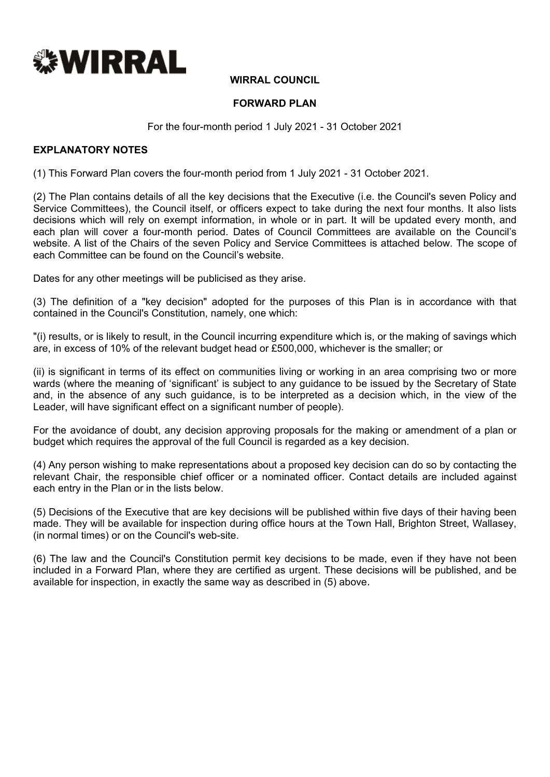

### **WIRRAL COUNCIL**

#### **FORWARD PLAN**

For the four-month period 1 July 2021 - 31 October 2021

#### **EXPLANATORY NOTES**

(1) This Forward Plan covers the four-month period from 1 July 2021 - 31 October 2021.

(2) The Plan contains details of all the key decisions that the Executive (i.e. the Council's seven Policy and Service Committees), the Council itself, or officers expect to take during the next four months. It also lists decisions which will rely on exempt information, in whole or in part. It will be updated every month, and each plan will cover a four-month period. Dates of Council Committees are available on the Council's website. A list of the Chairs of the seven Policy and Service Committees is attached below. The scope of each Committee can be found on the Council's website.

Dates for any other meetings will be publicised as they arise.

(3) The definition of a "key decision" adopted for the purposes of this Plan is in accordance with that contained in the Council's Constitution, namely, one which:

"(i) results, or is likely to result, in the Council incurring expenditure which is, or the making of savings which are, in excess of 10% of the relevant budget head or £500,000, whichever is the smaller; or

(ii) is significant in terms of its effect on communities living or working in an area comprising two or more wards (where the meaning of 'significant' is subject to any guidance to be issued by the Secretary of State and, in the absence of any such guidance, is to be interpreted as a decision which, in the view of the Leader, will have significant effect on a significant number of people).

For the avoidance of doubt, any decision approving proposals for the making or amendment of a plan or budget which requires the approval of the full Council is regarded as a key decision.

(4) Any person wishing to make representations about a proposed key decision can do so by contacting the relevant Chair, the responsible chief officer or a nominated officer. Contact details are included against each entry in the Plan or in the lists below.

(5) Decisions of the Executive that are key decisions will be published within five days of their having been made. They will be available for inspection during office hours at the Town Hall, Brighton Street, Wallasey, (in normal times) or on the Council's web-site.

(6) The law and the Council's Constitution permit key decisions to be made, even if they have not been included in a Forward Plan, where they are certified as urgent. These decisions will be published, and be available for inspection, in exactly the same way as described in (5) above.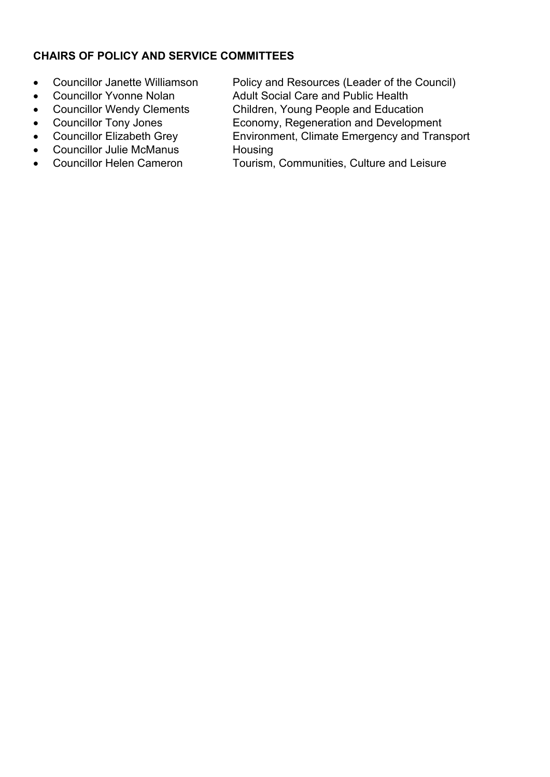# **CHAIRS OF POLICY AND SERVICE COMMITTEES**

- 
- 
- 
- 
- 
- Councillor Julie McManus Housing
- 
- Councillor Janette Williamson Policy and Resources (Leader of the Council)
- Councillor Yvonne Nolan Adult Social Care and Public Health
- Councillor Wendy Clements Children, Young People and Education
- Councillor Tony Jones Economy, Regeneration and Development
- Councillor Elizabeth Grey Environment, Climate Emergency and Transport
- Councillor Helen Cameron Tourism, Communities, Culture and Leisure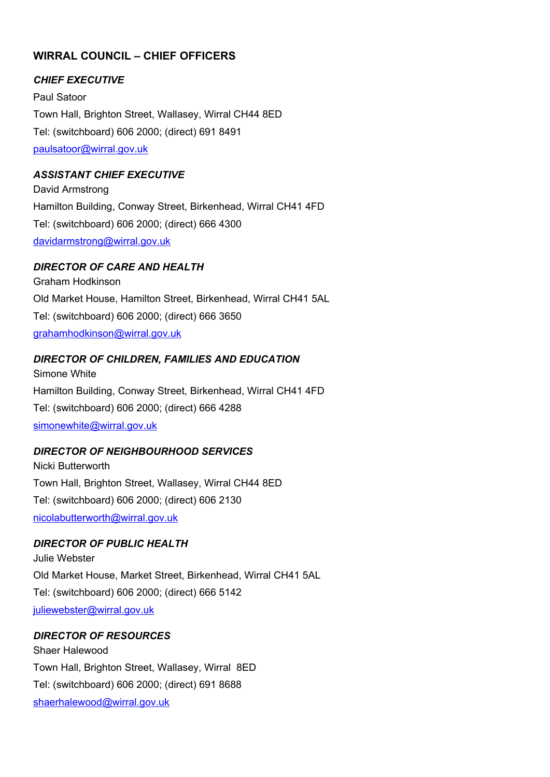# **WIRRAL COUNCIL – CHIEF OFFICERS**

### *CHIEF EXECUTIVE*

Paul Satoor Town Hall, Brighton Street, Wallasey, Wirral CH44 8ED Tel: (switchboard) 606 2000; (direct) 691 8491 [paulsatoor@wirral.gov.uk](mailto:paulsatoor@wirral.gov.uk)

### *ASSISTANT CHIEF EXECUTIVE*

David Armstrong Hamilton Building, Conway Street, Birkenhead, Wirral CH41 4FD Tel: (switchboard) 606 2000; (direct) 666 4300 [davidarmstrong@wirral.gov.uk](mailto:davidarmstrong@wirral.gov.uk)

#### *DIRECTOR OF CARE AND HEALTH*

Graham Hodkinson Old Market House, Hamilton Street, Birkenhead, Wirral CH41 5AL Tel: (switchboard) 606 2000; (direct) 666 3650 [grahamhodkinson@wirral.gov.uk](mailto:grahamhodkinson@wirral.gov.uk)

### *DIRECTOR OF CHILDREN, FAMILIES AND EDUCATION*

Simone White Hamilton Building, Conway Street, Birkenhead, Wirral CH41 4FD Tel: (switchboard) 606 2000; (direct) 666 4288 [simonewhite@wirral.gov.uk](mailto:simonewhite@wirral.gov.uk)

#### *DIRECTOR OF NEIGHBOURHOOD SERVICES*

Nicki Butterworth Town Hall, Brighton Street, Wallasey, Wirral CH44 8ED Tel: (switchboard) 606 2000; (direct) 606 2130 [nicolabutterworth@wirral.gov.uk](mailto:nicolabutterworth@wirral.gov.uk)

#### *DIRECTOR OF PUBLIC HEALTH*

Julie Webster Old Market House, Market Street, Birkenhead, Wirral CH41 5AL Tel: (switchboard) 606 2000; (direct) 666 5142 [juliewebster@wirral.gov.uk](mailto:juliewebster@wirral.gov.uk)

## *DIRECTOR OF RESOURCES*

Shaer Halewood Town Hall, Brighton Street, Wallasey, Wirral 8ED Tel: (switchboard) 606 2000; (direct) 691 8688 [shaerhalewood@wirral.gov.uk](mailto:shaerhalewood@wirral.gov.uk)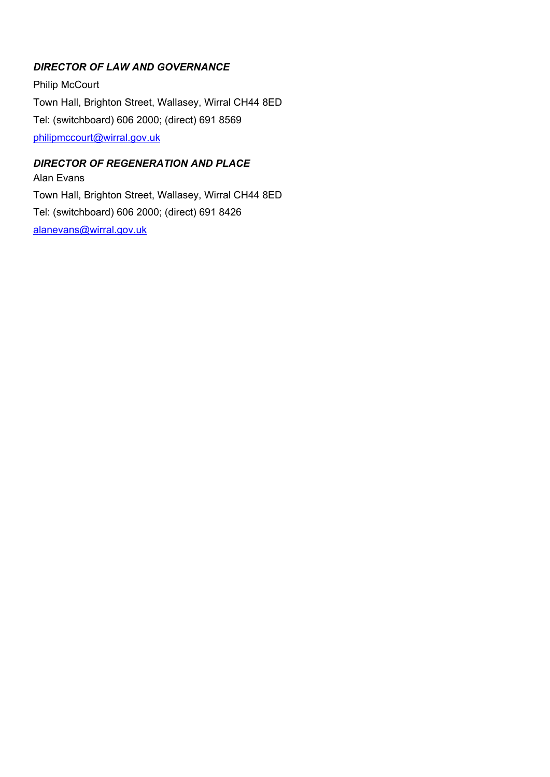# *DIRECTOR OF LAW AND GOVERNANCE*

Philip McCourt Town Hall, Brighton Street, Wallasey, Wirral CH44 8ED Tel: (switchboard) 606 2000; (direct) 691 8569 [philipmccourt@wirral.gov.uk](mailto:philipmccourt@wirral.gov.uk)

## *DIRECTOR OF REGENERATION AND PLACE*

Alan Evans Town Hall, Brighton Street, Wallasey, Wirral CH44 8ED Tel: (switchboard) 606 2000; (direct) 691 8426 [alanevans@wirral.gov.uk](mailto:alanevans@wirral.gov.uk)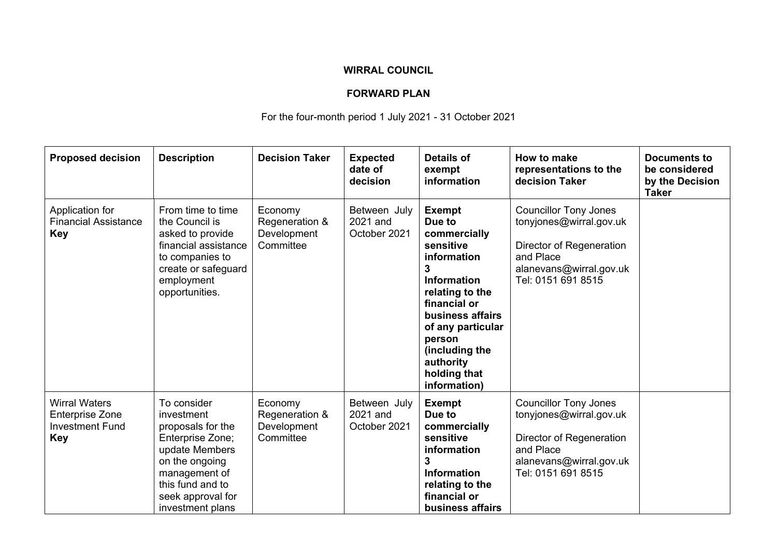## **WIRRAL COUNCIL**

## **FORWARD PLAN**

For the four-month period 1 July 2021 - 31 October 2021

| <b>Proposed decision</b>                                                               | <b>Description</b>                                                                                                                                                                   | <b>Decision Taker</b>                                 | <b>Expected</b><br>date of<br>decision   | <b>Details of</b><br>exempt<br>information                                                                                                                                                                                                          | How to make<br>representations to the<br>decision Taker                                                                                           | <b>Documents to</b><br>be considered<br>by the Decision<br><b>Taker</b> |
|----------------------------------------------------------------------------------------|--------------------------------------------------------------------------------------------------------------------------------------------------------------------------------------|-------------------------------------------------------|------------------------------------------|-----------------------------------------------------------------------------------------------------------------------------------------------------------------------------------------------------------------------------------------------------|---------------------------------------------------------------------------------------------------------------------------------------------------|-------------------------------------------------------------------------|
| Application for<br><b>Financial Assistance</b><br><b>Key</b>                           | From time to time<br>the Council is<br>asked to provide<br>financial assistance<br>to companies to<br>create or safeguard<br>employment<br>opportunities.                            | Economy<br>Regeneration &<br>Development<br>Committee | Between July<br>2021 and<br>October 2021 | <b>Exempt</b><br>Due to<br>commercially<br>sensitive<br>information<br>3<br><b>Information</b><br>relating to the<br>financial or<br>business affairs<br>of any particular<br>person<br>(including the<br>authority<br>holding that<br>information) | <b>Councillor Tony Jones</b><br>tonyjones@wirral.gov.uk<br>Director of Regeneration<br>and Place<br>alanevans@wirral.gov.uk<br>Tel: 0151 691 8515 |                                                                         |
| <b>Wirral Waters</b><br><b>Enterprise Zone</b><br><b>Investment Fund</b><br><b>Key</b> | To consider<br>investment<br>proposals for the<br>Enterprise Zone;<br>update Members<br>on the ongoing<br>management of<br>this fund and to<br>seek approval for<br>investment plans | Economy<br>Regeneration &<br>Development<br>Committee | Between July<br>2021 and<br>October 2021 | <b>Exempt</b><br>Due to<br>commercially<br>sensitive<br>information<br>3<br><b>Information</b><br>relating to the<br>financial or<br>business affairs                                                                                               | <b>Councillor Tony Jones</b><br>tonyjones@wirral.gov.uk<br>Director of Regeneration<br>and Place<br>alanevans@wirral.gov.uk<br>Tel: 0151 691 8515 |                                                                         |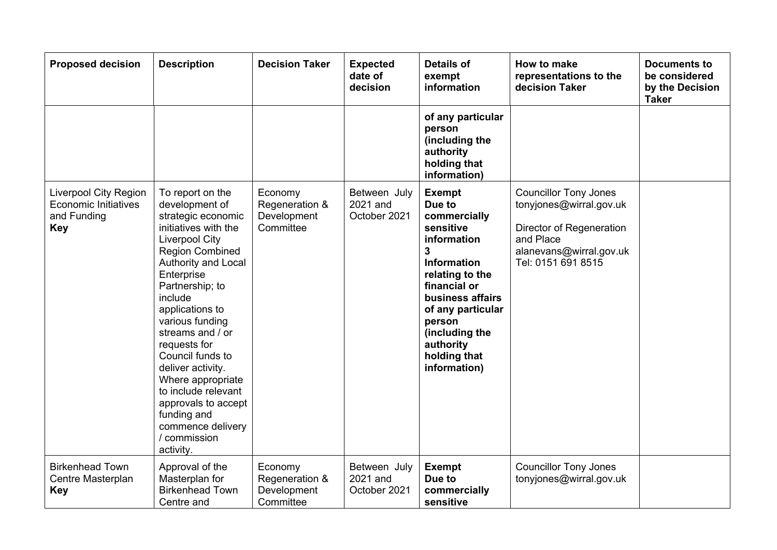| <b>Proposed decision</b>                                                                 | <b>Description</b>                                                                                                                                                                                                                                                                                                                                                                                                                                                   | <b>Decision Taker</b>                                 | <b>Expected</b><br>date of<br>decision   | <b>Details of</b><br>exempt<br>information                                                                                                                                                                                                          | How to make<br>representations to the<br>decision Taker                                                                                           | <b>Documents to</b><br>be considered<br>by the Decision<br><b>Taker</b> |
|------------------------------------------------------------------------------------------|----------------------------------------------------------------------------------------------------------------------------------------------------------------------------------------------------------------------------------------------------------------------------------------------------------------------------------------------------------------------------------------------------------------------------------------------------------------------|-------------------------------------------------------|------------------------------------------|-----------------------------------------------------------------------------------------------------------------------------------------------------------------------------------------------------------------------------------------------------|---------------------------------------------------------------------------------------------------------------------------------------------------|-------------------------------------------------------------------------|
|                                                                                          |                                                                                                                                                                                                                                                                                                                                                                                                                                                                      |                                                       |                                          | of any particular<br>person<br>(including the<br>authority<br>holding that<br>information)                                                                                                                                                          |                                                                                                                                                   |                                                                         |
| <b>Liverpool City Region</b><br><b>Economic Initiatives</b><br>and Funding<br><b>Key</b> | To report on the<br>development of<br>strategic economic<br>initiatives with the<br><b>Liverpool City</b><br><b>Region Combined</b><br><b>Authority and Local</b><br>Enterprise<br>Partnership; to<br>include<br>applications to<br>various funding<br>streams and / or<br>requests for<br>Council funds to<br>deliver activity.<br>Where appropriate<br>to include relevant<br>approvals to accept<br>funding and<br>commence delivery<br>/ commission<br>activity. | Economy<br>Regeneration &<br>Development<br>Committee | Between July<br>2021 and<br>October 2021 | <b>Exempt</b><br>Due to<br>commercially<br>sensitive<br>information<br>3<br><b>Information</b><br>relating to the<br>financial or<br>business affairs<br>of any particular<br>person<br>(including the<br>authority<br>holding that<br>information) | <b>Councillor Tony Jones</b><br>tonyjones@wirral.gov.uk<br>Director of Regeneration<br>and Place<br>alanevans@wirral.gov.uk<br>Tel: 0151 691 8515 |                                                                         |
| <b>Birkenhead Town</b><br>Centre Masterplan<br><b>Key</b>                                | Approval of the<br>Masterplan for<br><b>Birkenhead Town</b><br>Centre and                                                                                                                                                                                                                                                                                                                                                                                            | Economy<br>Regeneration &<br>Development<br>Committee | Between July<br>2021 and<br>October 2021 | <b>Exempt</b><br>Due to<br>commercially<br>sensitive                                                                                                                                                                                                | <b>Councillor Tony Jones</b><br>tonyjones@wirral.gov.uk                                                                                           |                                                                         |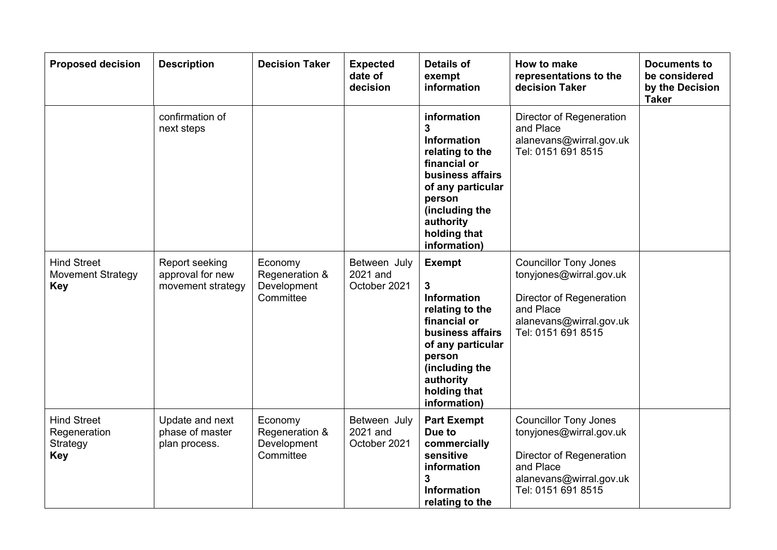| <b>Proposed decision</b>                                     | <b>Description</b>                                      | <b>Decision Taker</b>                                 | <b>Expected</b><br>date of<br>decision   | <b>Details of</b><br>exempt<br>information                                                                                                                                                    | How to make<br>representations to the<br>decision Taker                                                                                           | <b>Documents to</b><br>be considered<br>by the Decision<br><b>Taker</b> |
|--------------------------------------------------------------|---------------------------------------------------------|-------------------------------------------------------|------------------------------------------|-----------------------------------------------------------------------------------------------------------------------------------------------------------------------------------------------|---------------------------------------------------------------------------------------------------------------------------------------------------|-------------------------------------------------------------------------|
|                                                              | confirmation of<br>next steps                           |                                                       |                                          | information<br>3<br><b>Information</b><br>relating to the<br>financial or<br>business affairs<br>of any particular<br>person<br>(including the<br>authority<br>holding that<br>information)   | Director of Regeneration<br>and Place<br>alanevans@wirral.gov.uk<br>Tel: 0151 691 8515                                                            |                                                                         |
| <b>Hind Street</b><br><b>Movement Strategy</b><br><b>Key</b> | Report seeking<br>approval for new<br>movement strategy | Economy<br>Regeneration &<br>Development<br>Committee | Between July<br>2021 and<br>October 2021 | <b>Exempt</b><br>3<br><b>Information</b><br>relating to the<br>financial or<br>business affairs<br>of any particular<br>person<br>(including the<br>authority<br>holding that<br>information) | <b>Councillor Tony Jones</b><br>tonyjones@wirral.gov.uk<br>Director of Regeneration<br>and Place<br>alanevans@wirral.gov.uk<br>Tel: 0151 691 8515 |                                                                         |
| <b>Hind Street</b><br>Regeneration<br>Strategy<br><b>Key</b> | Update and next<br>phase of master<br>plan process.     | Economy<br>Regeneration &<br>Development<br>Committee | Between July<br>2021 and<br>October 2021 | <b>Part Exempt</b><br>Due to<br>commercially<br>sensitive<br>information<br>3<br><b>Information</b><br>relating to the                                                                        | <b>Councillor Tony Jones</b><br>tonyjones@wirral.gov.uk<br>Director of Regeneration<br>and Place<br>alanevans@wirral.gov.uk<br>Tel: 0151 691 8515 |                                                                         |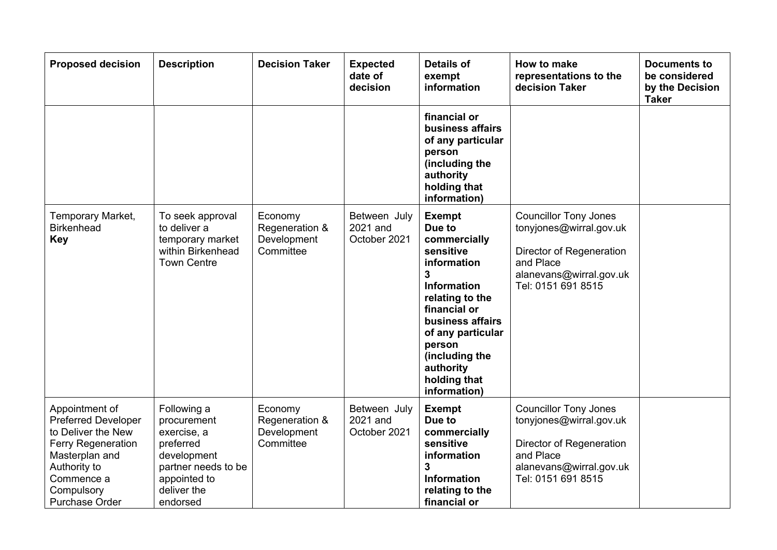| <b>Proposed decision</b>                                                                                                                                                        | <b>Description</b>                                                                                                                      | <b>Decision Taker</b>                                 | <b>Expected</b><br>date of<br>decision   | <b>Details of</b><br>exempt<br>information                                                                                                                                                                                                          | How to make<br>representations to the<br>decision Taker                                                                                           | <b>Documents to</b><br>be considered<br>by the Decision<br><b>Taker</b> |
|---------------------------------------------------------------------------------------------------------------------------------------------------------------------------------|-----------------------------------------------------------------------------------------------------------------------------------------|-------------------------------------------------------|------------------------------------------|-----------------------------------------------------------------------------------------------------------------------------------------------------------------------------------------------------------------------------------------------------|---------------------------------------------------------------------------------------------------------------------------------------------------|-------------------------------------------------------------------------|
|                                                                                                                                                                                 |                                                                                                                                         |                                                       |                                          | financial or<br>business affairs<br>of any particular<br>person<br>(including the<br>authority<br>holding that<br>information)                                                                                                                      |                                                                                                                                                   |                                                                         |
| Temporary Market,<br><b>Birkenhead</b><br><b>Key</b>                                                                                                                            | To seek approval<br>to deliver a<br>temporary market<br>within Birkenhead<br><b>Town Centre</b>                                         | Economy<br>Regeneration &<br>Development<br>Committee | Between July<br>2021 and<br>October 2021 | <b>Exempt</b><br>Due to<br>commercially<br>sensitive<br>information<br>3<br><b>Information</b><br>relating to the<br>financial or<br>business affairs<br>of any particular<br>person<br>(including the<br>authority<br>holding that<br>information) | <b>Councillor Tony Jones</b><br>tonyjones@wirral.gov.uk<br>Director of Regeneration<br>and Place<br>alanevans@wirral.gov.uk<br>Tel: 0151 691 8515 |                                                                         |
| Appointment of<br><b>Preferred Developer</b><br>to Deliver the New<br>Ferry Regeneration<br>Masterplan and<br>Authority to<br>Commence a<br>Compulsory<br><b>Purchase Order</b> | Following a<br>procurement<br>exercise, a<br>preferred<br>development<br>partner needs to be<br>appointed to<br>deliver the<br>endorsed | Economy<br>Regeneration &<br>Development<br>Committee | Between July<br>2021 and<br>October 2021 | <b>Exempt</b><br>Due to<br>commercially<br>sensitive<br>information<br>3<br><b>Information</b><br>relating to the<br>financial or                                                                                                                   | <b>Councillor Tony Jones</b><br>tonyjones@wirral.gov.uk<br>Director of Regeneration<br>and Place<br>alanevans@wirral.gov.uk<br>Tel: 0151 691 8515 |                                                                         |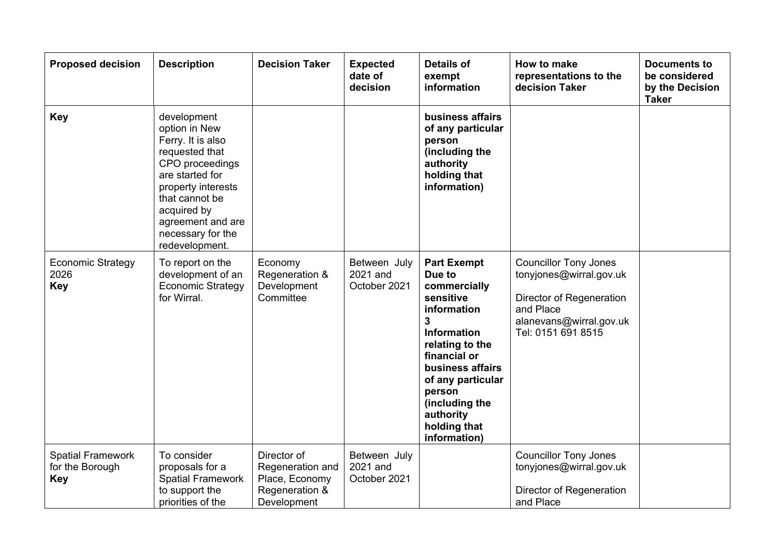| <b>Proposed decision</b>                                  | <b>Description</b>                                                                                                                                                                                                           | <b>Decision Taker</b>                                                              | <b>Expected</b><br>date of<br>decision   | <b>Details of</b><br>exempt<br>information                                                                                                                                                                                                                          | How to make<br>representations to the<br>decision Taker                                                                                           | <b>Documents to</b><br>be considered<br>by the Decision<br><b>Taker</b> |
|-----------------------------------------------------------|------------------------------------------------------------------------------------------------------------------------------------------------------------------------------------------------------------------------------|------------------------------------------------------------------------------------|------------------------------------------|---------------------------------------------------------------------------------------------------------------------------------------------------------------------------------------------------------------------------------------------------------------------|---------------------------------------------------------------------------------------------------------------------------------------------------|-------------------------------------------------------------------------|
| <b>Key</b>                                                | development<br>option in New<br>Ferry. It is also<br>requested that<br>CPO proceedings<br>are started for<br>property interests<br>that cannot be<br>acquired by<br>agreement and are<br>necessary for the<br>redevelopment. |                                                                                    |                                          | business affairs<br>of any particular<br>person<br>(including the<br>authority<br>holding that<br>information)                                                                                                                                                      |                                                                                                                                                   |                                                                         |
| <b>Economic Strategy</b><br>2026<br><b>Key</b>            | To report on the<br>development of an<br><b>Economic Strategy</b><br>for Wirral.                                                                                                                                             | Economy<br>Regeneration &<br>Development<br>Committee                              | Between July<br>2021 and<br>October 2021 | <b>Part Exempt</b><br>Due to<br>commercially<br>sensitive<br>information<br>$\mathbf{3}$<br><b>Information</b><br>relating to the<br>financial or<br>business affairs<br>of any particular<br>person<br>(including the<br>authority<br>holding that<br>information) | <b>Councillor Tony Jones</b><br>tonyjones@wirral.gov.uk<br>Director of Regeneration<br>and Place<br>alanevans@wirral.gov.uk<br>Tel: 0151 691 8515 |                                                                         |
| <b>Spatial Framework</b><br>for the Borough<br><b>Key</b> | To consider<br>proposals for a<br><b>Spatial Framework</b><br>to support the<br>priorities of the                                                                                                                            | Director of<br>Regeneration and<br>Place, Economy<br>Regeneration &<br>Development | Between July<br>2021 and<br>October 2021 |                                                                                                                                                                                                                                                                     | <b>Councillor Tony Jones</b><br>tonyjones@wirral.gov.uk<br>Director of Regeneration<br>and Place                                                  |                                                                         |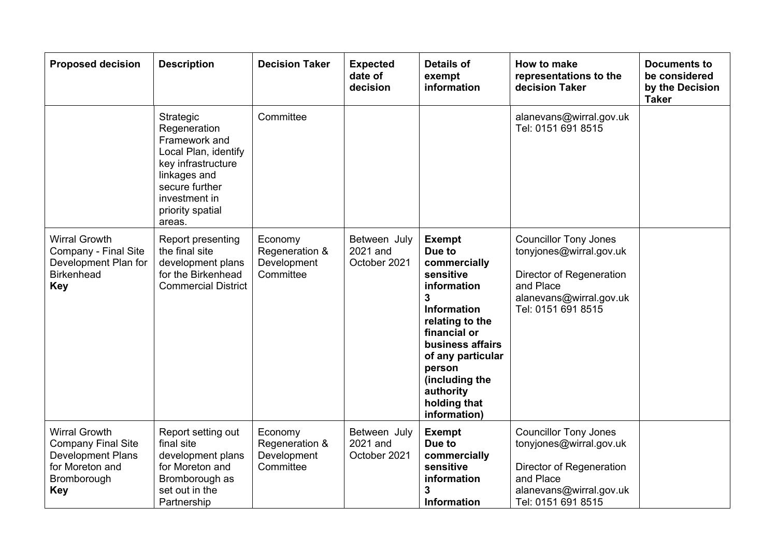| <b>Proposed decision</b>                                                                                               | <b>Description</b>                                                                                                                                                        | <b>Decision Taker</b>                                 | <b>Expected</b><br>date of<br>decision   | <b>Details of</b><br>exempt<br>information                                                                                                                                                                                                          | How to make<br>representations to the<br>decision Taker                                                                                           | <b>Documents to</b><br>be considered<br>by the Decision<br><b>Taker</b> |
|------------------------------------------------------------------------------------------------------------------------|---------------------------------------------------------------------------------------------------------------------------------------------------------------------------|-------------------------------------------------------|------------------------------------------|-----------------------------------------------------------------------------------------------------------------------------------------------------------------------------------------------------------------------------------------------------|---------------------------------------------------------------------------------------------------------------------------------------------------|-------------------------------------------------------------------------|
|                                                                                                                        | Strategic<br>Regeneration<br>Framework and<br>Local Plan, identify<br>key infrastructure<br>linkages and<br>secure further<br>investment in<br>priority spatial<br>areas. | Committee                                             |                                          |                                                                                                                                                                                                                                                     | alanevans@wirral.gov.uk<br>Tel: 0151 691 8515                                                                                                     |                                                                         |
| <b>Wirral Growth</b><br>Company - Final Site<br>Development Plan for<br><b>Birkenhead</b><br><b>Key</b>                | Report presenting<br>the final site<br>development plans<br>for the Birkenhead<br><b>Commercial District</b>                                                              | Economy<br>Regeneration &<br>Development<br>Committee | Between July<br>2021 and<br>October 2021 | <b>Exempt</b><br>Due to<br>commercially<br>sensitive<br>information<br>3<br><b>Information</b><br>relating to the<br>financial or<br>business affairs<br>of any particular<br>person<br>(including the<br>authority<br>holding that<br>information) | <b>Councillor Tony Jones</b><br>tonyjones@wirral.gov.uk<br>Director of Regeneration<br>and Place<br>alanevans@wirral.gov.uk<br>Tel: 0151 691 8515 |                                                                         |
| <b>Wirral Growth</b><br><b>Company Final Site</b><br>Development Plans<br>for Moreton and<br>Bromborough<br><b>Key</b> | Report setting out<br>final site<br>development plans<br>for Moreton and<br>Bromborough as<br>set out in the<br>Partnership                                               | Economy<br>Regeneration &<br>Development<br>Committee | Between July<br>2021 and<br>October 2021 | <b>Exempt</b><br>Due to<br>commercially<br>sensitive<br>information<br>3<br><b>Information</b>                                                                                                                                                      | <b>Councillor Tony Jones</b><br>tonyjones@wirral.gov.uk<br>Director of Regeneration<br>and Place<br>alanevans@wirral.gov.uk<br>Tel: 0151 691 8515 |                                                                         |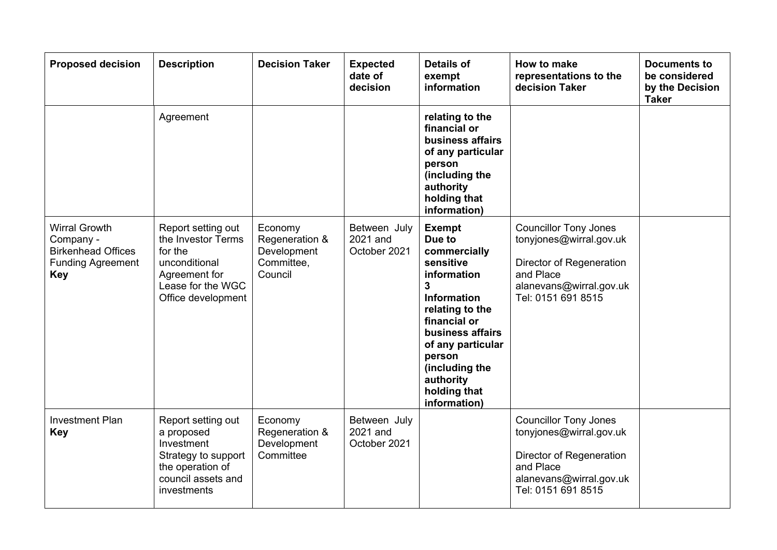| <b>Proposed decision</b>                                                                                 | <b>Description</b>                                                                                                               | <b>Decision Taker</b>                                             | <b>Expected</b><br>date of<br>decision   | <b>Details of</b><br>exempt<br>information                                                                                                                                                                                                                     | How to make<br>representations to the<br>decision Taker                                                                                           | <b>Documents to</b><br>be considered<br>by the Decision<br><b>Taker</b> |
|----------------------------------------------------------------------------------------------------------|----------------------------------------------------------------------------------------------------------------------------------|-------------------------------------------------------------------|------------------------------------------|----------------------------------------------------------------------------------------------------------------------------------------------------------------------------------------------------------------------------------------------------------------|---------------------------------------------------------------------------------------------------------------------------------------------------|-------------------------------------------------------------------------|
|                                                                                                          | Agreement                                                                                                                        |                                                                   |                                          | relating to the<br>financial or<br>business affairs<br>of any particular<br>person<br>(including the<br>authority<br>holding that<br>information)                                                                                                              |                                                                                                                                                   |                                                                         |
| <b>Wirral Growth</b><br>Company -<br><b>Birkenhead Offices</b><br><b>Funding Agreement</b><br><b>Key</b> | Report setting out<br>the Investor Terms<br>for the<br>unconditional<br>Agreement for<br>Lease for the WGC<br>Office development | Economy<br>Regeneration &<br>Development<br>Committee,<br>Council | Between July<br>2021 and<br>October 2021 | <b>Exempt</b><br>Due to<br>commercially<br>sensitive<br>information<br>$\mathbf{3}$<br><b>Information</b><br>relating to the<br>financial or<br>business affairs<br>of any particular<br>person<br>(including the<br>authority<br>holding that<br>information) | <b>Councillor Tony Jones</b><br>tonyjones@wirral.gov.uk<br>Director of Regeneration<br>and Place<br>alanevans@wirral.gov.uk<br>Tel: 0151 691 8515 |                                                                         |
| <b>Investment Plan</b><br><b>Key</b>                                                                     | Report setting out<br>a proposed<br>Investment<br>Strategy to support<br>the operation of<br>council assets and<br>investments   | Economy<br>Regeneration &<br>Development<br>Committee             | Between July<br>2021 and<br>October 2021 |                                                                                                                                                                                                                                                                | <b>Councillor Tony Jones</b><br>tonyjones@wirral.gov.uk<br>Director of Regeneration<br>and Place<br>alanevans@wirral.gov.uk<br>Tel: 0151 691 8515 |                                                                         |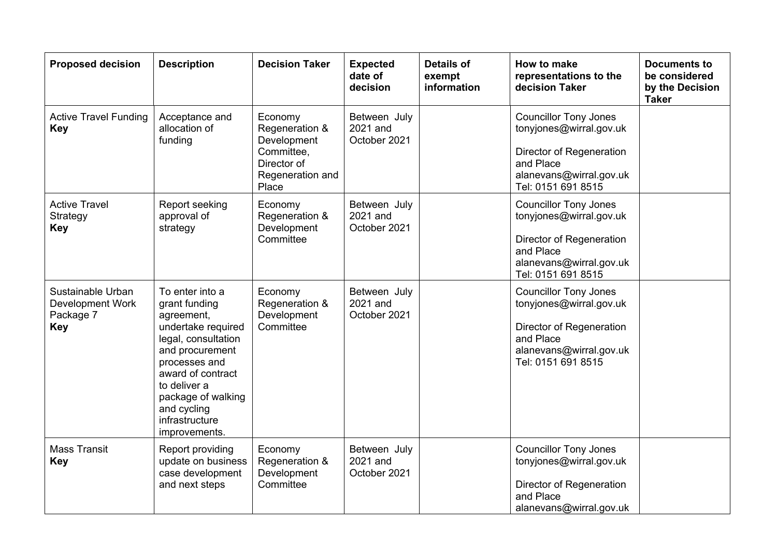| <b>Proposed decision</b>                                                | <b>Description</b>                                                                                                                                                                                                                           | <b>Decision Taker</b>                                                                              | <b>Expected</b><br>date of<br>decision   | <b>Details of</b><br>exempt<br>information | How to make<br>representations to the<br>decision Taker                                                                                           | <b>Documents to</b><br>be considered<br>by the Decision<br><b>Taker</b> |
|-------------------------------------------------------------------------|----------------------------------------------------------------------------------------------------------------------------------------------------------------------------------------------------------------------------------------------|----------------------------------------------------------------------------------------------------|------------------------------------------|--------------------------------------------|---------------------------------------------------------------------------------------------------------------------------------------------------|-------------------------------------------------------------------------|
| <b>Active Travel Funding</b><br><b>Key</b>                              | Acceptance and<br>allocation of<br>funding                                                                                                                                                                                                   | Economy<br>Regeneration &<br>Development<br>Committee,<br>Director of<br>Regeneration and<br>Place | Between July<br>2021 and<br>October 2021 |                                            | <b>Councillor Tony Jones</b><br>tonyjones@wirral.gov.uk<br>Director of Regeneration<br>and Place<br>alanevans@wirral.gov.uk<br>Tel: 0151 691 8515 |                                                                         |
| <b>Active Travel</b><br>Strategy<br><b>Key</b>                          | Report seeking<br>approval of<br>strategy                                                                                                                                                                                                    | Economy<br>Regeneration &<br>Development<br>Committee                                              | Between July<br>2021 and<br>October 2021 |                                            | <b>Councillor Tony Jones</b><br>tonyjones@wirral.gov.uk<br>Director of Regeneration<br>and Place<br>alanevans@wirral.gov.uk<br>Tel: 0151 691 8515 |                                                                         |
| Sustainable Urban<br><b>Development Work</b><br>Package 7<br><b>Key</b> | To enter into a<br>grant funding<br>agreement,<br>undertake required<br>legal, consultation<br>and procurement<br>processes and<br>award of contract<br>to deliver a<br>package of walking<br>and cycling<br>infrastructure<br>improvements. | Economy<br>Regeneration &<br>Development<br>Committee                                              | Between July<br>2021 and<br>October 2021 |                                            | <b>Councillor Tony Jones</b><br>tonyjones@wirral.gov.uk<br>Director of Regeneration<br>and Place<br>alanevans@wirral.gov.uk<br>Tel: 0151 691 8515 |                                                                         |
| <b>Mass Transit</b><br><b>Key</b>                                       | Report providing<br>update on business<br>case development<br>and next steps                                                                                                                                                                 | Economy<br>Regeneration &<br>Development<br>Committee                                              | Between July<br>2021 and<br>October 2021 |                                            | <b>Councillor Tony Jones</b><br>tonyjones@wirral.gov.uk<br>Director of Regeneration<br>and Place<br>alanevans@wirral.gov.uk                       |                                                                         |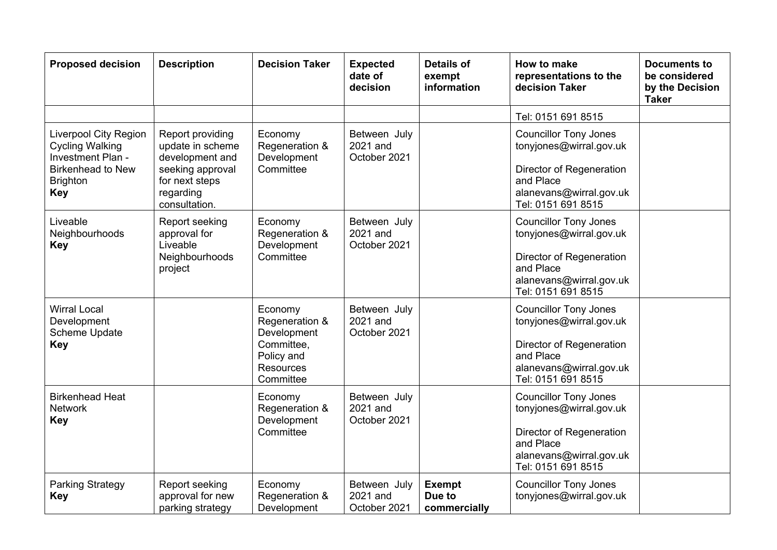| <b>Proposed decision</b>                                                                                                                 | <b>Description</b>                                                                                                          | <b>Decision Taker</b>                                                                                 | <b>Expected</b><br>date of<br>decision   | <b>Details of</b><br>exempt<br>information | How to make<br>representations to the<br>decision Taker                                                                                           | <b>Documents to</b><br>be considered<br>by the Decision<br><b>Taker</b> |
|------------------------------------------------------------------------------------------------------------------------------------------|-----------------------------------------------------------------------------------------------------------------------------|-------------------------------------------------------------------------------------------------------|------------------------------------------|--------------------------------------------|---------------------------------------------------------------------------------------------------------------------------------------------------|-------------------------------------------------------------------------|
|                                                                                                                                          |                                                                                                                             |                                                                                                       |                                          |                                            | Tel: 0151 691 8515                                                                                                                                |                                                                         |
| <b>Liverpool City Region</b><br><b>Cycling Walking</b><br>Investment Plan -<br><b>Birkenhead to New</b><br><b>Brighton</b><br><b>Key</b> | Report providing<br>update in scheme<br>development and<br>seeking approval<br>for next steps<br>regarding<br>consultation. | Economy<br>Regeneration &<br>Development<br>Committee                                                 | Between July<br>2021 and<br>October 2021 |                                            | <b>Councillor Tony Jones</b><br>tonyjones@wirral.gov.uk<br>Director of Regeneration<br>and Place<br>alanevans@wirral.gov.uk<br>Tel: 0151 691 8515 |                                                                         |
| Liveable<br>Neighbourhoods<br><b>Key</b>                                                                                                 | Report seeking<br>approval for<br>Liveable<br>Neighbourhoods<br>project                                                     | Economy<br>Regeneration &<br>Development<br>Committee                                                 | Between July<br>2021 and<br>October 2021 |                                            | <b>Councillor Tony Jones</b><br>tonyjones@wirral.gov.uk<br>Director of Regeneration<br>and Place<br>alanevans@wirral.gov.uk<br>Tel: 0151 691 8515 |                                                                         |
| <b>Wirral Local</b><br>Development<br>Scheme Update<br><b>Key</b>                                                                        |                                                                                                                             | Economy<br>Regeneration &<br>Development<br>Committee,<br>Policy and<br><b>Resources</b><br>Committee | Between July<br>2021 and<br>October 2021 |                                            | <b>Councillor Tony Jones</b><br>tonyjones@wirral.gov.uk<br>Director of Regeneration<br>and Place<br>alanevans@wirral.gov.uk<br>Tel: 0151 691 8515 |                                                                         |
| <b>Birkenhead Heat</b><br><b>Network</b><br><b>Key</b>                                                                                   |                                                                                                                             | Economy<br>Regeneration &<br>Development<br>Committee                                                 | Between July<br>2021 and<br>October 2021 |                                            | <b>Councillor Tony Jones</b><br>tonyjones@wirral.gov.uk<br>Director of Regeneration<br>and Place<br>alanevans@wirral.gov.uk<br>Tel: 0151 691 8515 |                                                                         |
| <b>Parking Strategy</b><br><b>Key</b>                                                                                                    | Report seeking<br>approval for new<br>parking strategy                                                                      | Economy<br>Regeneration &<br>Development                                                              | Between July<br>2021 and<br>October 2021 | <b>Exempt</b><br>Due to<br>commercially    | <b>Councillor Tony Jones</b><br>tonyjones@wirral.gov.uk                                                                                           |                                                                         |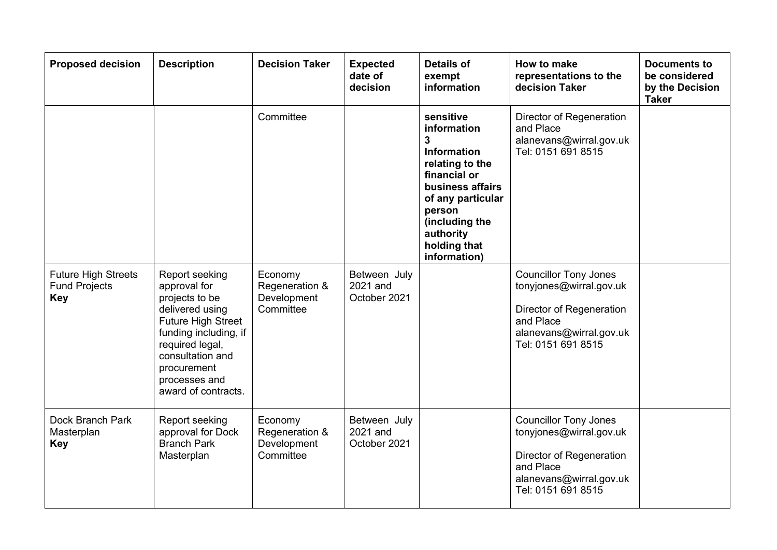| <b>Proposed decision</b>                                         | <b>Description</b>                                                                                                                                                                                                      | <b>Decision Taker</b>                                 | <b>Expected</b><br>date of<br>decision   | <b>Details of</b><br>exempt<br>information                                                                                                                                                               | How to make<br>representations to the<br>decision Taker                                                                                           | <b>Documents to</b><br>be considered<br>by the Decision<br><b>Taker</b> |
|------------------------------------------------------------------|-------------------------------------------------------------------------------------------------------------------------------------------------------------------------------------------------------------------------|-------------------------------------------------------|------------------------------------------|----------------------------------------------------------------------------------------------------------------------------------------------------------------------------------------------------------|---------------------------------------------------------------------------------------------------------------------------------------------------|-------------------------------------------------------------------------|
|                                                                  |                                                                                                                                                                                                                         | Committee                                             |                                          | sensitive<br>information<br>3<br><b>Information</b><br>relating to the<br>financial or<br>business affairs<br>of any particular<br>person<br>(including the<br>authority<br>holding that<br>information) | Director of Regeneration<br>and Place<br>alanevans@wirral.gov.uk<br>Tel: 0151 691 8515                                                            |                                                                         |
| <b>Future High Streets</b><br><b>Fund Projects</b><br><b>Key</b> | Report seeking<br>approval for<br>projects to be<br>delivered using<br><b>Future High Street</b><br>funding including, if<br>required legal,<br>consultation and<br>procurement<br>processes and<br>award of contracts. | Economy<br>Regeneration &<br>Development<br>Committee | Between July<br>2021 and<br>October 2021 |                                                                                                                                                                                                          | <b>Councillor Tony Jones</b><br>tonyjones@wirral.gov.uk<br>Director of Regeneration<br>and Place<br>alanevans@wirral.gov.uk<br>Tel: 0151 691 8515 |                                                                         |
| Dock Branch Park<br>Masterplan<br><b>Key</b>                     | Report seeking<br>approval for Dock<br><b>Branch Park</b><br>Masterplan                                                                                                                                                 | Economy<br>Regeneration &<br>Development<br>Committee | Between July<br>2021 and<br>October 2021 |                                                                                                                                                                                                          | <b>Councillor Tony Jones</b><br>tonyjones@wirral.gov.uk<br>Director of Regeneration<br>and Place<br>alanevans@wirral.gov.uk<br>Tel: 0151 691 8515 |                                                                         |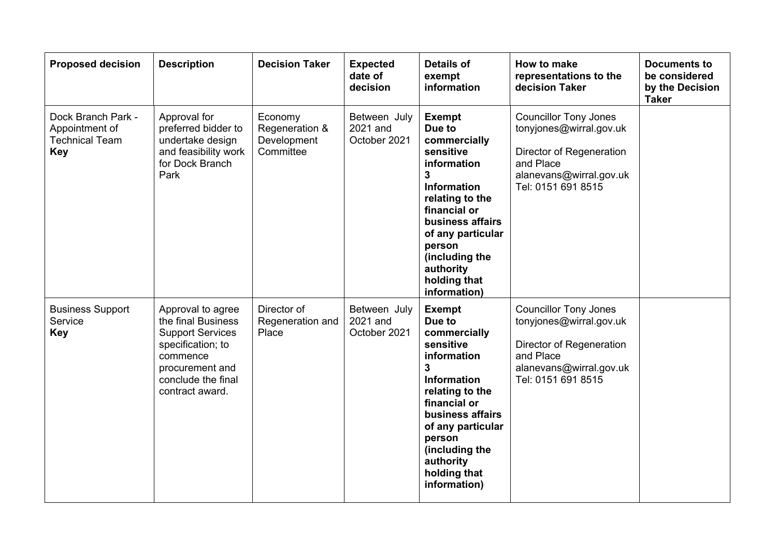| <b>Proposed decision</b>                                                    | <b>Description</b>                                                                                                                                              | <b>Decision Taker</b>                                 | <b>Expected</b><br>date of<br>decision   | <b>Details of</b><br>exempt<br>information                                                                                                                                                                                                          | How to make<br>representations to the<br>decision Taker                                                                                           | <b>Documents to</b><br>be considered<br>by the Decision<br><b>Taker</b> |
|-----------------------------------------------------------------------------|-----------------------------------------------------------------------------------------------------------------------------------------------------------------|-------------------------------------------------------|------------------------------------------|-----------------------------------------------------------------------------------------------------------------------------------------------------------------------------------------------------------------------------------------------------|---------------------------------------------------------------------------------------------------------------------------------------------------|-------------------------------------------------------------------------|
| Dock Branch Park -<br>Appointment of<br><b>Technical Team</b><br><b>Key</b> | Approval for<br>preferred bidder to<br>undertake design<br>and feasibility work<br>for Dock Branch<br>Park                                                      | Economy<br>Regeneration &<br>Development<br>Committee | Between July<br>2021 and<br>October 2021 | <b>Exempt</b><br>Due to<br>commercially<br>sensitive<br>information<br>3<br>Information<br>relating to the<br>financial or<br>business affairs<br>of any particular<br>person<br>(including the<br>authority<br>holding that<br>information)        | <b>Councillor Tony Jones</b><br>tonyjones@wirral.gov.uk<br>Director of Regeneration<br>and Place<br>alanevans@wirral.gov.uk<br>Tel: 0151 691 8515 |                                                                         |
| <b>Business Support</b><br>Service<br><b>Key</b>                            | Approval to agree<br>the final Business<br><b>Support Services</b><br>specification; to<br>commence<br>procurement and<br>conclude the final<br>contract award. | Director of<br>Regeneration and<br>Place              | Between July<br>2021 and<br>October 2021 | <b>Exempt</b><br>Due to<br>commercially<br>sensitive<br>information<br>3<br><b>Information</b><br>relating to the<br>financial or<br>business affairs<br>of any particular<br>person<br>(including the<br>authority<br>holding that<br>information) | <b>Councillor Tony Jones</b><br>tonyjones@wirral.gov.uk<br>Director of Regeneration<br>and Place<br>alanevans@wirral.gov.uk<br>Tel: 0151 691 8515 |                                                                         |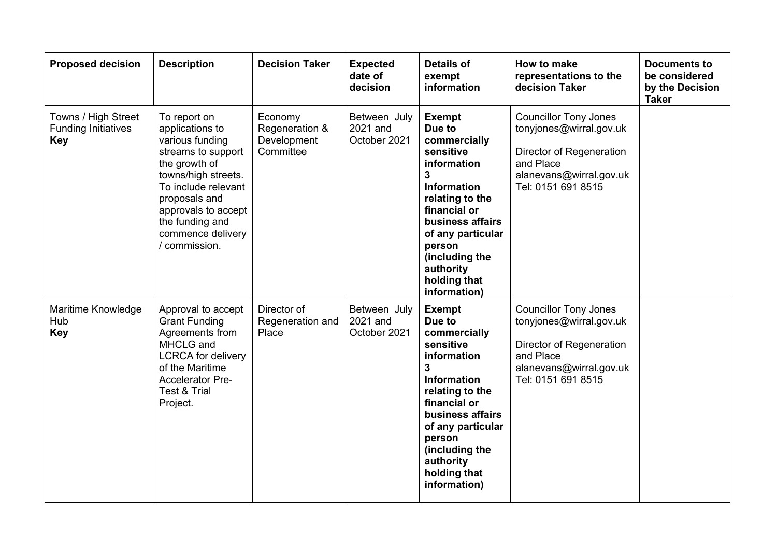| <b>Proposed decision</b>                                        | <b>Description</b>                                                                                                                                                                                                                       | <b>Decision Taker</b>                                 | <b>Expected</b><br>date of<br>decision   | <b>Details of</b><br>exempt<br>information                                                                                                                                                                                                              | How to make<br>representations to the<br>decision Taker                                                                                           | <b>Documents to</b><br>be considered<br>by the Decision<br><b>Taker</b> |
|-----------------------------------------------------------------|------------------------------------------------------------------------------------------------------------------------------------------------------------------------------------------------------------------------------------------|-------------------------------------------------------|------------------------------------------|---------------------------------------------------------------------------------------------------------------------------------------------------------------------------------------------------------------------------------------------------------|---------------------------------------------------------------------------------------------------------------------------------------------------|-------------------------------------------------------------------------|
| Towns / High Street<br><b>Funding Initiatives</b><br><b>Key</b> | To report on<br>applications to<br>various funding<br>streams to support<br>the growth of<br>towns/high streets.<br>To include relevant<br>proposals and<br>approvals to accept<br>the funding and<br>commence delivery<br>/ commission. | Economy<br>Regeneration &<br>Development<br>Committee | Between July<br>2021 and<br>October 2021 | <b>Exempt</b><br>Due to<br>commercially<br>sensitive<br>information<br>3<br>Information<br>relating to the<br>financial or<br>business affairs<br>of any particular<br>person<br>(including the<br>authority<br>holding that<br>information)            | <b>Councillor Tony Jones</b><br>tonyjones@wirral.gov.uk<br>Director of Regeneration<br>and Place<br>alanevans@wirral.gov.uk<br>Tel: 0151 691 8515 |                                                                         |
| Maritime Knowledge<br>Hub<br><b>Key</b>                         | Approval to accept<br><b>Grant Funding</b><br>Agreements from<br>MHCLG and<br><b>LCRCA</b> for delivery<br>of the Maritime<br>Accelerator Pre-<br>Test & Trial<br>Project.                                                               | Director of<br>Regeneration and<br>Place              | Between July<br>2021 and<br>October 2021 | <b>Exempt</b><br>Due to<br>commercially<br>sensitive<br>information<br>$\mathbf{3}$<br>Information<br>relating to the<br>financial or<br>business affairs<br>of any particular<br>person<br>(including the<br>authority<br>holding that<br>information) | <b>Councillor Tony Jones</b><br>tonyjones@wirral.gov.uk<br>Director of Regeneration<br>and Place<br>alanevans@wirral.gov.uk<br>Tel: 0151 691 8515 |                                                                         |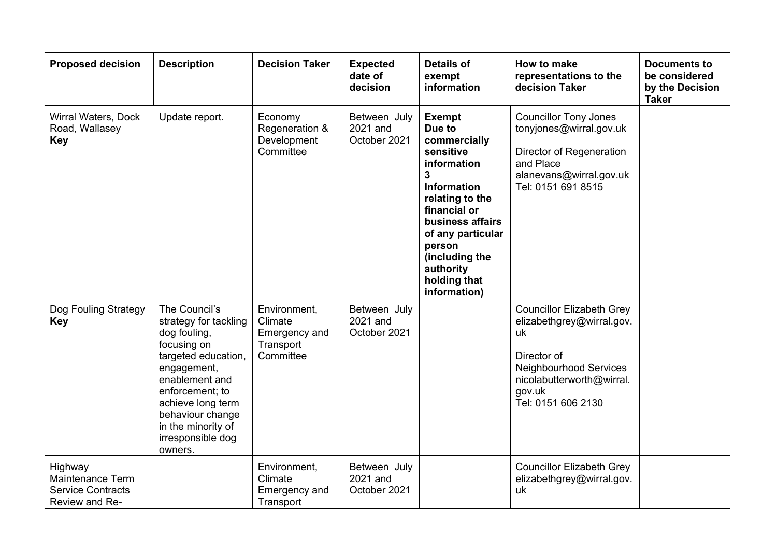| <b>Proposed decision</b>                                                  | <b>Description</b>                                                                                                                                                                                                                              | <b>Decision Taker</b>                                              | <b>Expected</b><br>date of<br>decision   | <b>Details of</b><br>exempt<br>information                                                                                                                                                                                                          | How to make<br>representations to the<br>decision Taker                                                                                                                   | <b>Documents to</b><br>be considered<br>by the Decision<br><b>Taker</b> |
|---------------------------------------------------------------------------|-------------------------------------------------------------------------------------------------------------------------------------------------------------------------------------------------------------------------------------------------|--------------------------------------------------------------------|------------------------------------------|-----------------------------------------------------------------------------------------------------------------------------------------------------------------------------------------------------------------------------------------------------|---------------------------------------------------------------------------------------------------------------------------------------------------------------------------|-------------------------------------------------------------------------|
| Wirral Waters, Dock<br>Road, Wallasey<br><b>Key</b>                       | Update report.                                                                                                                                                                                                                                  | Economy<br>Regeneration &<br>Development<br>Committee              | Between July<br>2021 and<br>October 2021 | <b>Exempt</b><br>Due to<br>commercially<br>sensitive<br>information<br>3<br><b>Information</b><br>relating to the<br>financial or<br>business affairs<br>of any particular<br>person<br>(including the<br>authority<br>holding that<br>information) | <b>Councillor Tony Jones</b><br>tonyjones@wirral.gov.uk<br>Director of Regeneration<br>and Place<br>alanevans@wirral.gov.uk<br>Tel: 0151 691 8515                         |                                                                         |
| Dog Fouling Strategy<br><b>Key</b>                                        | The Council's<br>strategy for tackling<br>dog fouling,<br>focusing on<br>targeted education,<br>engagement,<br>enablement and<br>enforcement; to<br>achieve long term<br>behaviour change<br>in the minority of<br>irresponsible dog<br>owners. | Environment,<br>Climate<br>Emergency and<br>Transport<br>Committee | Between July<br>2021 and<br>October 2021 |                                                                                                                                                                                                                                                     | <b>Councillor Elizabeth Grey</b><br>elizabethgrey@wirral.gov.<br>uk<br>Director of<br>Neighbourhood Services<br>nicolabutterworth@wirral.<br>gov.uk<br>Tel: 0151 606 2130 |                                                                         |
| Highway<br>Maintenance Term<br><b>Service Contracts</b><br>Review and Re- |                                                                                                                                                                                                                                                 | Environment,<br>Climate<br>Emergency and<br>Transport              | Between July<br>2021 and<br>October 2021 |                                                                                                                                                                                                                                                     | <b>Councillor Elizabeth Grey</b><br>elizabethgrey@wirral.gov.<br>uk                                                                                                       |                                                                         |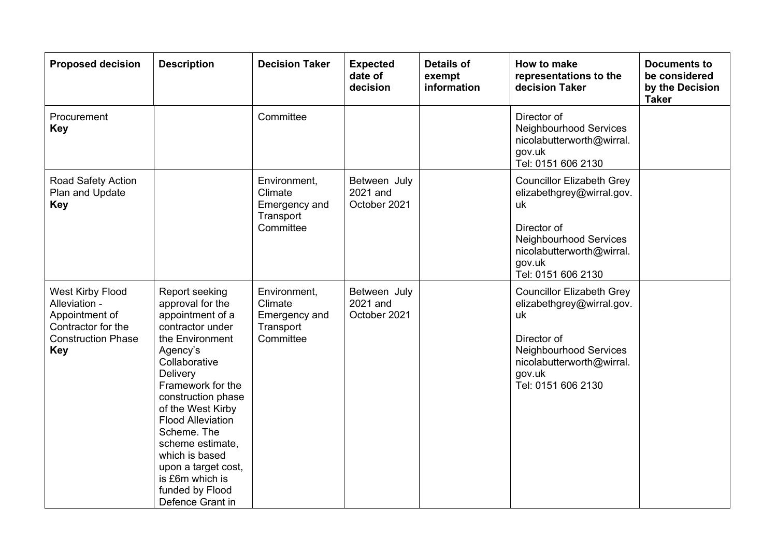| <b>Proposed decision</b>                                                                                             | <b>Description</b>                                                                                                                                                                                                                                                                                                                                                       | <b>Decision Taker</b>                                              | <b>Expected</b><br>date of<br>decision   | <b>Details of</b><br>exempt<br>information | <b>How to make</b><br>representations to the<br>decision Taker                                                                                                            | <b>Documents to</b><br>be considered<br>by the Decision<br><b>Taker</b> |
|----------------------------------------------------------------------------------------------------------------------|--------------------------------------------------------------------------------------------------------------------------------------------------------------------------------------------------------------------------------------------------------------------------------------------------------------------------------------------------------------------------|--------------------------------------------------------------------|------------------------------------------|--------------------------------------------|---------------------------------------------------------------------------------------------------------------------------------------------------------------------------|-------------------------------------------------------------------------|
| Procurement<br><b>Key</b>                                                                                            |                                                                                                                                                                                                                                                                                                                                                                          | Committee                                                          |                                          |                                            | Director of<br>Neighbourhood Services<br>nicolabutterworth@wirral.<br>gov.uk<br>Tel: 0151 606 2130                                                                        |                                                                         |
| Road Safety Action<br>Plan and Update<br><b>Key</b>                                                                  |                                                                                                                                                                                                                                                                                                                                                                          | Environment,<br>Climate<br>Emergency and<br>Transport<br>Committee | Between July<br>2021 and<br>October 2021 |                                            | <b>Councillor Elizabeth Grey</b><br>elizabethgrey@wirral.gov.<br>uk<br>Director of<br>Neighbourhood Services<br>nicolabutterworth@wirral.<br>gov.uk<br>Tel: 0151 606 2130 |                                                                         |
| West Kirby Flood<br>Alleviation -<br>Appointment of<br>Contractor for the<br><b>Construction Phase</b><br><b>Key</b> | Report seeking<br>approval for the<br>appointment of a<br>contractor under<br>the Environment<br>Agency's<br>Collaborative<br>Delivery<br>Framework for the<br>construction phase<br>of the West Kirby<br><b>Flood Alleviation</b><br>Scheme. The<br>scheme estimate.<br>which is based<br>upon a target cost,<br>is £6m which is<br>funded by Flood<br>Defence Grant in | Environment,<br>Climate<br>Emergency and<br>Transport<br>Committee | Between July<br>2021 and<br>October 2021 |                                            | <b>Councillor Elizabeth Grey</b><br>elizabethgrey@wirral.gov.<br>uk<br>Director of<br>Neighbourhood Services<br>nicolabutterworth@wirral.<br>gov.uk<br>Tel: 0151 606 2130 |                                                                         |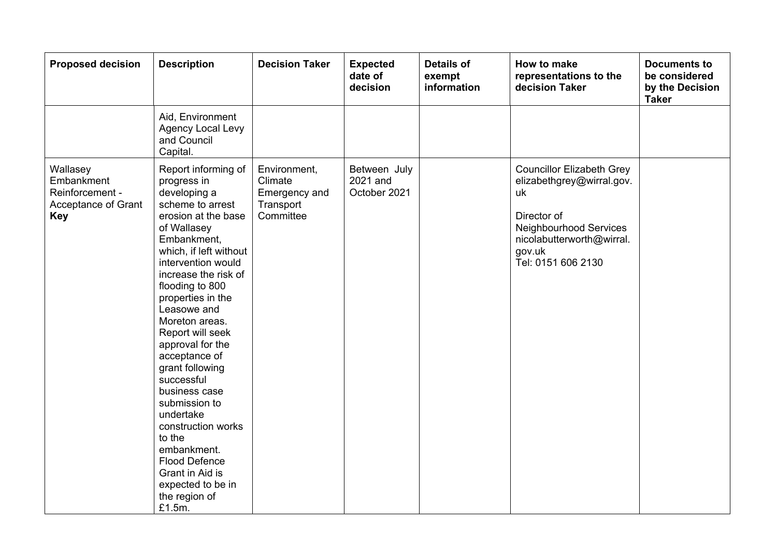| <b>Proposed decision</b>                                                       | <b>Description</b>                                                                                                                                                                                                                                                                                                                                                                                                                                                                                                                                              | <b>Decision Taker</b>                                              | <b>Expected</b><br>date of<br>decision   | <b>Details of</b><br>exempt<br>information | How to make<br>representations to the<br>decision Taker                                                                                                                          | <b>Documents to</b><br>be considered<br>by the Decision<br><b>Taker</b> |
|--------------------------------------------------------------------------------|-----------------------------------------------------------------------------------------------------------------------------------------------------------------------------------------------------------------------------------------------------------------------------------------------------------------------------------------------------------------------------------------------------------------------------------------------------------------------------------------------------------------------------------------------------------------|--------------------------------------------------------------------|------------------------------------------|--------------------------------------------|----------------------------------------------------------------------------------------------------------------------------------------------------------------------------------|-------------------------------------------------------------------------|
|                                                                                | Aid, Environment<br>Agency Local Levy<br>and Council<br>Capital.                                                                                                                                                                                                                                                                                                                                                                                                                                                                                                |                                                                    |                                          |                                            |                                                                                                                                                                                  |                                                                         |
| Wallasey<br>Embankment<br>Reinforcement -<br>Acceptance of Grant<br><b>Key</b> | Report informing of<br>progress in<br>developing a<br>scheme to arrest<br>erosion at the base<br>of Wallasey<br>Embankment,<br>which, if left without<br>intervention would<br>increase the risk of<br>flooding to 800<br>properties in the<br>Leasowe and<br>Moreton areas.<br>Report will seek<br>approval for the<br>acceptance of<br>grant following<br>successful<br>business case<br>submission to<br>undertake<br>construction works<br>to the<br>embankment.<br><b>Flood Defence</b><br>Grant in Aid is<br>expected to be in<br>the region of<br>£1.5m. | Environment,<br>Climate<br>Emergency and<br>Transport<br>Committee | Between July<br>2021 and<br>October 2021 |                                            | <b>Councillor Elizabeth Grey</b><br>elizabethgrey@wirral.gov.<br>uk<br>Director of<br><b>Neighbourhood Services</b><br>nicolabutterworth@wirral.<br>gov.uk<br>Tel: 0151 606 2130 |                                                                         |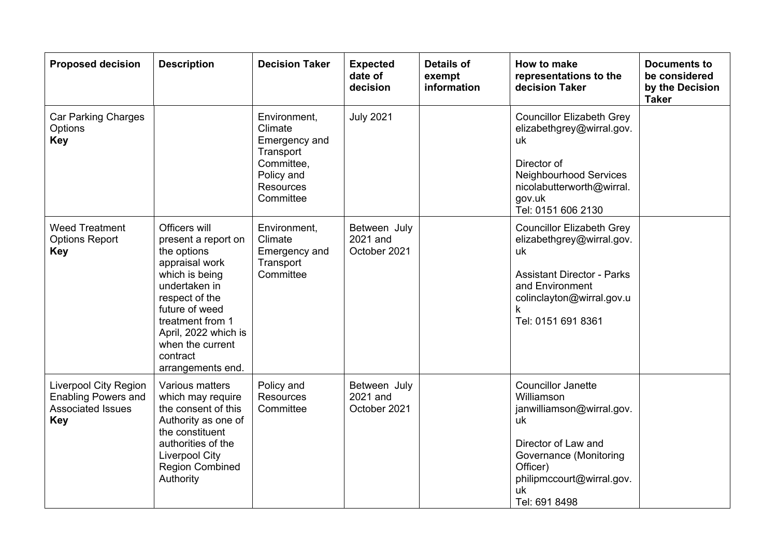| <b>Proposed decision</b>                                                                             | <b>Description</b>                                                                                                                                                                                                                            | <b>Decision Taker</b>                                                                                              | <b>Expected</b><br>date of<br>decision   | <b>Details of</b><br>exempt<br>information | How to make<br>representations to the<br>decision Taker                                                                                                                                     | <b>Documents to</b><br>be considered<br>by the Decision<br><b>Taker</b> |
|------------------------------------------------------------------------------------------------------|-----------------------------------------------------------------------------------------------------------------------------------------------------------------------------------------------------------------------------------------------|--------------------------------------------------------------------------------------------------------------------|------------------------------------------|--------------------------------------------|---------------------------------------------------------------------------------------------------------------------------------------------------------------------------------------------|-------------------------------------------------------------------------|
| <b>Car Parking Charges</b><br>Options<br><b>Key</b>                                                  |                                                                                                                                                                                                                                               | Environment,<br>Climate<br>Emergency and<br>Transport<br>Committee,<br>Policy and<br><b>Resources</b><br>Committee | <b>July 2021</b>                         |                                            | <b>Councillor Elizabeth Grey</b><br>elizabethgrey@wirral.gov.<br>uk<br>Director of<br>Neighbourhood Services<br>nicolabutterworth@wirral.<br>gov.uk<br>Tel: 0151 606 2130                   |                                                                         |
| <b>Weed Treatment</b><br><b>Options Report</b><br><b>Key</b>                                         | Officers will<br>present a report on<br>the options<br>appraisal work<br>which is being<br>undertaken in<br>respect of the<br>future of weed<br>treatment from 1<br>April, 2022 which is<br>when the current<br>contract<br>arrangements end. | Environment,<br>Climate<br>Emergency and<br>Transport<br>Committee                                                 | Between July<br>2021 and<br>October 2021 |                                            | <b>Councillor Elizabeth Grey</b><br>elizabethgrey@wirral.gov.<br>uk<br><b>Assistant Director - Parks</b><br>and Environment<br>colinclayton@wirral.gov.u<br>k<br>Tel: 0151 691 8361         |                                                                         |
| <b>Liverpool City Region</b><br><b>Enabling Powers and</b><br><b>Associated Issues</b><br><b>Key</b> | Various matters<br>which may require<br>the consent of this<br>Authority as one of<br>the constituent<br>authorities of the<br><b>Liverpool City</b><br><b>Region Combined</b><br>Authority                                                   | Policy and<br>Resources<br>Committee                                                                               | Between July<br>2021 and<br>October 2021 |                                            | <b>Councillor Janette</b><br>Williamson<br>janwilliamson@wirral.gov.<br>uk<br>Director of Law and<br>Governance (Monitoring<br>Officer)<br>philipmccourt@wirral.gov.<br>uk<br>Tel: 691 8498 |                                                                         |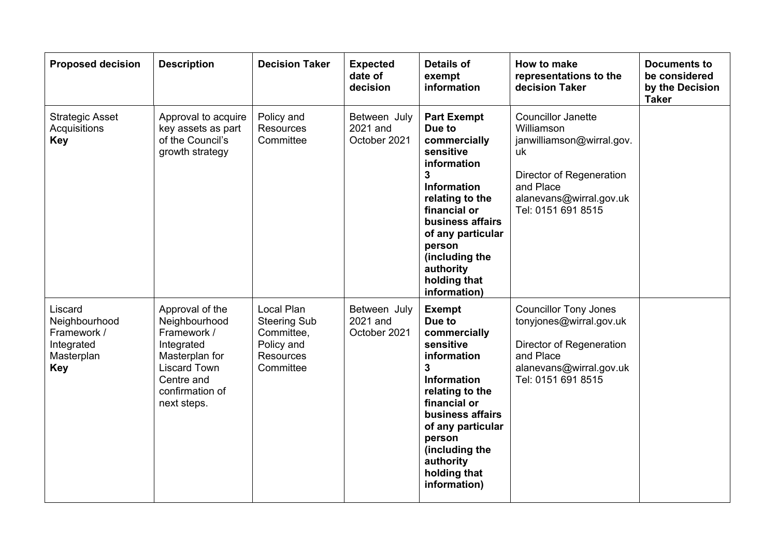| <b>Proposed decision</b>                                                          | <b>Description</b>                                                                                                                                     | <b>Decision Taker</b>                                                                          | <b>Expected</b><br>date of<br>decision   | <b>Details of</b><br>exempt<br>information                                                                                                                                                                                                                     | How to make<br>representations to the<br>decision Taker                                                                                                              | <b>Documents to</b><br>be considered<br>by the Decision<br><b>Taker</b> |
|-----------------------------------------------------------------------------------|--------------------------------------------------------------------------------------------------------------------------------------------------------|------------------------------------------------------------------------------------------------|------------------------------------------|----------------------------------------------------------------------------------------------------------------------------------------------------------------------------------------------------------------------------------------------------------------|----------------------------------------------------------------------------------------------------------------------------------------------------------------------|-------------------------------------------------------------------------|
| <b>Strategic Asset</b><br>Acquisitions<br><b>Key</b>                              | Approval to acquire<br>key assets as part<br>of the Council's<br>growth strategy                                                                       | Policy and<br>Resources<br>Committee                                                           | Between July<br>2021 and<br>October 2021 | <b>Part Exempt</b><br>Due to<br>commercially<br>sensitive<br>information<br>3<br><b>Information</b><br>relating to the<br>financial or<br>business affairs<br>of any particular<br>person<br>(including the<br>authority<br>holding that<br>information)       | <b>Councillor Janette</b><br>Williamson<br>janwilliamson@wirral.gov.<br>uk<br>Director of Regeneration<br>and Place<br>alanevans@wirral.gov.uk<br>Tel: 0151 691 8515 |                                                                         |
| Liscard<br>Neighbourhood<br>Framework /<br>Integrated<br>Masterplan<br><b>Key</b> | Approval of the<br>Neighbourhood<br>Framework /<br>Integrated<br>Masterplan for<br><b>Liscard Town</b><br>Centre and<br>confirmation of<br>next steps. | Local Plan<br><b>Steering Sub</b><br>Committee,<br>Policy and<br><b>Resources</b><br>Committee | Between July<br>2021 and<br>October 2021 | <b>Exempt</b><br>Due to<br>commercially<br>sensitive<br>information<br>$\mathbf{3}$<br><b>Information</b><br>relating to the<br>financial or<br>business affairs<br>of any particular<br>person<br>(including the<br>authority<br>holding that<br>information) | <b>Councillor Tony Jones</b><br>tonyjones@wirral.gov.uk<br>Director of Regeneration<br>and Place<br>alanevans@wirral.gov.uk<br>Tel: 0151 691 8515                    |                                                                         |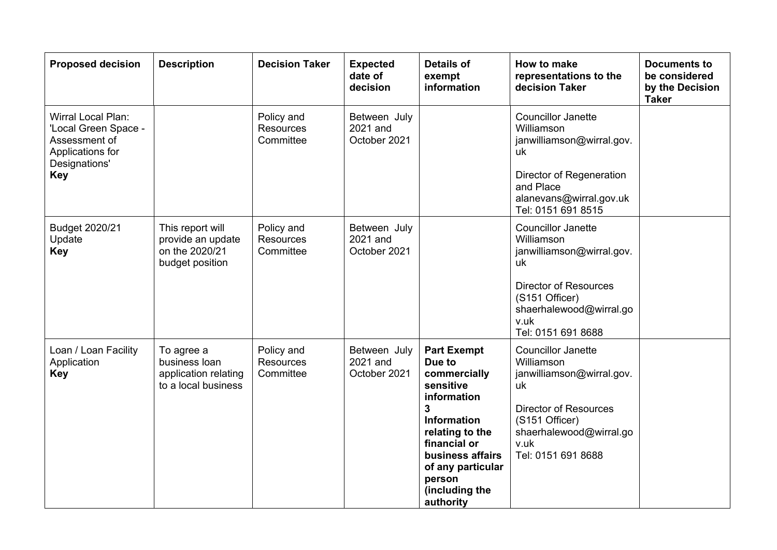| <b>Proposed decision</b>                                                                                              | <b>Description</b>                                                         | <b>Decision Taker</b>                       | <b>Expected</b><br>date of<br>decision   | <b>Details of</b><br>exempt<br>information                                                                                                                                                                                            | How to make<br>representations to the<br>decision Taker                                                                                                                               | <b>Documents to</b><br>be considered<br>by the Decision<br><b>Taker</b> |
|-----------------------------------------------------------------------------------------------------------------------|----------------------------------------------------------------------------|---------------------------------------------|------------------------------------------|---------------------------------------------------------------------------------------------------------------------------------------------------------------------------------------------------------------------------------------|---------------------------------------------------------------------------------------------------------------------------------------------------------------------------------------|-------------------------------------------------------------------------|
| <b>Wirral Local Plan:</b><br>'Local Green Space -<br>Assessment of<br>Applications for<br>Designations'<br><b>Key</b> |                                                                            | Policy and<br><b>Resources</b><br>Committee | Between July<br>2021 and<br>October 2021 |                                                                                                                                                                                                                                       | <b>Councillor Janette</b><br>Williamson<br>janwilliamson@wirral.gov.<br>uk<br>Director of Regeneration<br>and Place<br>alanevans@wirral.gov.uk<br>Tel: 0151 691 8515                  |                                                                         |
| Budget 2020/21<br>Update<br><b>Key</b>                                                                                | This report will<br>provide an update<br>on the 2020/21<br>budget position | Policy and<br><b>Resources</b><br>Committee | Between July<br>2021 and<br>October 2021 |                                                                                                                                                                                                                                       | <b>Councillor Janette</b><br>Williamson<br>janwilliamson@wirral.gov.<br>uk<br><b>Director of Resources</b><br>(S151 Officer)<br>shaerhalewood@wirral.go<br>v.uk<br>Tel: 0151 691 8688 |                                                                         |
| Loan / Loan Facility<br>Application<br><b>Key</b>                                                                     | To agree a<br>business loan<br>application relating<br>to a local business | Policy and<br><b>Resources</b><br>Committee | Between July<br>2021 and<br>October 2021 | <b>Part Exempt</b><br>Due to<br>commercially<br>sensitive<br>information<br>$\overline{3}$<br><b>Information</b><br>relating to the<br>financial or<br>business affairs<br>of any particular<br>person<br>(including the<br>authority | <b>Councillor Janette</b><br>Williamson<br>janwilliamson@wirral.gov.<br>uk<br><b>Director of Resources</b><br>(S151 Officer)<br>shaerhalewood@wirral.go<br>v.uk<br>Tel: 0151 691 8688 |                                                                         |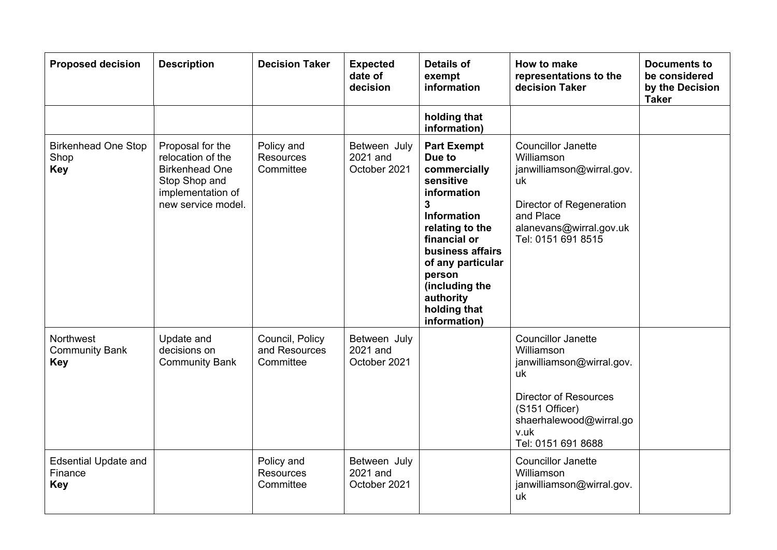| <b>Proposed decision</b>                             | <b>Description</b>                                                                                                         | <b>Decision Taker</b>                         | <b>Expected</b><br>date of<br>decision   | <b>Details of</b><br>exempt<br>information                                                                                                                                                                                                                                     | How to make<br>representations to the<br>decision Taker                                                                                                                               | <b>Documents to</b><br>be considered<br>by the Decision<br><b>Taker</b> |
|------------------------------------------------------|----------------------------------------------------------------------------------------------------------------------------|-----------------------------------------------|------------------------------------------|--------------------------------------------------------------------------------------------------------------------------------------------------------------------------------------------------------------------------------------------------------------------------------|---------------------------------------------------------------------------------------------------------------------------------------------------------------------------------------|-------------------------------------------------------------------------|
|                                                      |                                                                                                                            |                                               |                                          | holding that<br>information)                                                                                                                                                                                                                                                   |                                                                                                                                                                                       |                                                                         |
| <b>Birkenhead One Stop</b><br>Shop<br><b>Key</b>     | Proposal for the<br>relocation of the<br><b>Birkenhead One</b><br>Stop Shop and<br>implementation of<br>new service model. | Policy and<br><b>Resources</b><br>Committee   | Between July<br>2021 and<br>October 2021 | <b>Part Exempt</b><br>Due to<br>commercially<br>sensitive<br>information<br>$\overline{\mathbf{3}}$<br><b>Information</b><br>relating to the<br>financial or<br>business affairs<br>of any particular<br>person<br>(including the<br>authority<br>holding that<br>information) | <b>Councillor Janette</b><br>Williamson<br>janwilliamson@wirral.gov.<br>uk<br>Director of Regeneration<br>and Place<br>alanevans@wirral.gov.uk<br>Tel: 0151 691 8515                  |                                                                         |
| Northwest<br><b>Community Bank</b><br><b>Key</b>     | Update and<br>decisions on<br><b>Community Bank</b>                                                                        | Council, Policy<br>and Resources<br>Committee | Between July<br>2021 and<br>October 2021 |                                                                                                                                                                                                                                                                                | <b>Councillor Janette</b><br>Williamson<br>janwilliamson@wirral.gov.<br>uk<br><b>Director of Resources</b><br>(S151 Officer)<br>shaerhalewood@wirral.go<br>v.uk<br>Tel: 0151 691 8688 |                                                                         |
| <b>Edsential Update and</b><br>Finance<br><b>Key</b> |                                                                                                                            | Policy and<br><b>Resources</b><br>Committee   | Between July<br>2021 and<br>October 2021 |                                                                                                                                                                                                                                                                                | <b>Councillor Janette</b><br>Williamson<br>janwilliamson@wirral.gov.<br>uk                                                                                                            |                                                                         |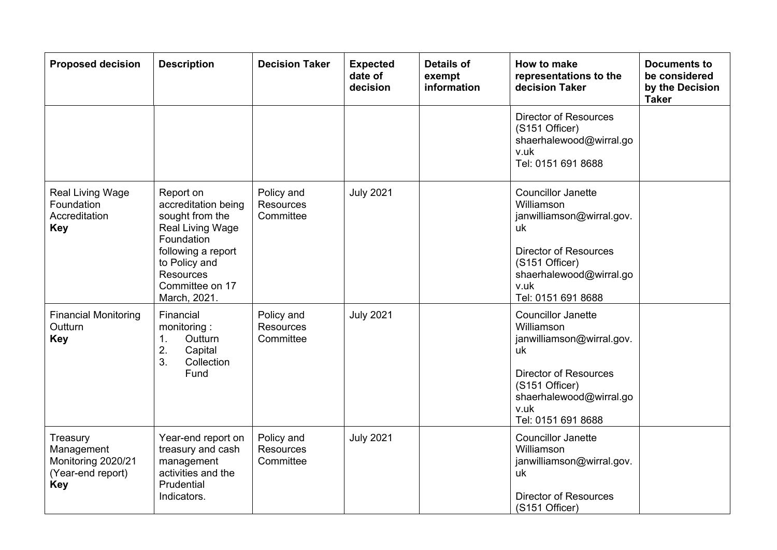| <b>Proposed decision</b>                                                        | <b>Description</b>                                                                                                                                                                  | <b>Decision Taker</b>                       | <b>Expected</b><br>date of<br>decision | <b>Details of</b><br>exempt<br>information | How to make<br>representations to the<br>decision Taker                                                                                                                               | <b>Documents to</b><br>be considered<br>by the Decision<br><b>Taker</b> |
|---------------------------------------------------------------------------------|-------------------------------------------------------------------------------------------------------------------------------------------------------------------------------------|---------------------------------------------|----------------------------------------|--------------------------------------------|---------------------------------------------------------------------------------------------------------------------------------------------------------------------------------------|-------------------------------------------------------------------------|
|                                                                                 |                                                                                                                                                                                     |                                             |                                        |                                            | <b>Director of Resources</b><br>(S151 Officer)<br>shaerhalewood@wirral.go<br>v.uk<br>Tel: 0151 691 8688                                                                               |                                                                         |
| <b>Real Living Wage</b><br>Foundation<br>Accreditation<br><b>Key</b>            | Report on<br>accreditation being<br>sought from the<br>Real Living Wage<br>Foundation<br>following a report<br>to Policy and<br><b>Resources</b><br>Committee on 17<br>March, 2021. | Policy and<br><b>Resources</b><br>Committee | <b>July 2021</b>                       |                                            | <b>Councillor Janette</b><br>Williamson<br>janwilliamson@wirral.gov.<br>uk<br><b>Director of Resources</b><br>(S151 Officer)<br>shaerhalewood@wirral.go<br>v.uk<br>Tel: 0151 691 8688 |                                                                         |
| <b>Financial Monitoring</b><br>Outturn<br><b>Key</b>                            | Financial<br>monitoring:<br>Outturn<br>1.<br>2.<br>Capital<br>Collection<br>3.<br>Fund                                                                                              | Policy and<br><b>Resources</b><br>Committee | <b>July 2021</b>                       |                                            | <b>Councillor Janette</b><br>Williamson<br>janwilliamson@wirral.gov.<br>uk<br><b>Director of Resources</b><br>(S151 Officer)<br>shaerhalewood@wirral.go<br>v.uk<br>Tel: 0151 691 8688 |                                                                         |
| Treasury<br>Management<br>Monitoring 2020/21<br>(Year-end report)<br><b>Key</b> | Year-end report on<br>treasury and cash<br>management<br>activities and the<br>Prudential<br>Indicators.                                                                            | Policy and<br><b>Resources</b><br>Committee | <b>July 2021</b>                       |                                            | <b>Councillor Janette</b><br>Williamson<br>janwilliamson@wirral.gov.<br>uk<br><b>Director of Resources</b><br>(S151 Officer)                                                          |                                                                         |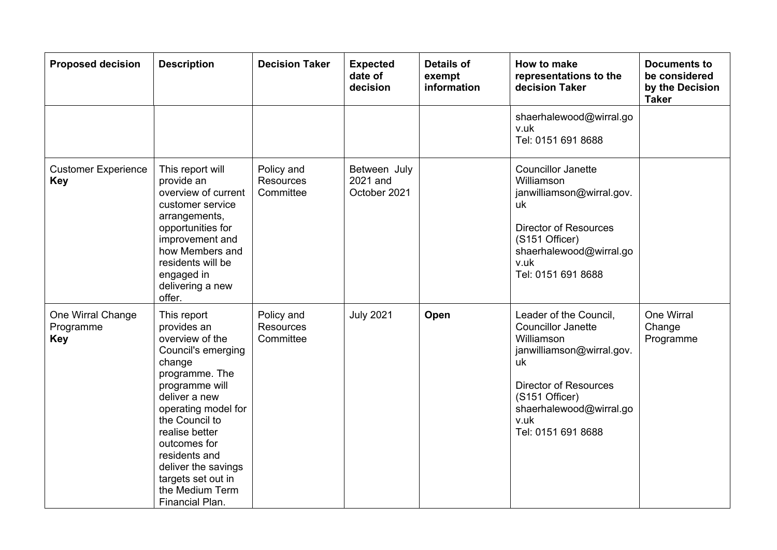| <b>Proposed decision</b>                     | <b>Description</b>                                                                                                                                                                                                                                                                                                | <b>Decision Taker</b>                       | <b>Expected</b><br>date of<br>decision   | <b>Details of</b><br>exempt<br>information | How to make<br>representations to the<br>decision Taker                                                                                                                                                         | <b>Documents to</b><br>be considered<br>by the Decision<br><b>Taker</b> |
|----------------------------------------------|-------------------------------------------------------------------------------------------------------------------------------------------------------------------------------------------------------------------------------------------------------------------------------------------------------------------|---------------------------------------------|------------------------------------------|--------------------------------------------|-----------------------------------------------------------------------------------------------------------------------------------------------------------------------------------------------------------------|-------------------------------------------------------------------------|
|                                              |                                                                                                                                                                                                                                                                                                                   |                                             |                                          |                                            | shaerhalewood@wirral.go<br>v.uk<br>Tel: 0151 691 8688                                                                                                                                                           |                                                                         |
| <b>Customer Experience</b><br><b>Key</b>     | This report will<br>provide an<br>overview of current<br>customer service<br>arrangements,<br>opportunities for<br>improvement and<br>how Members and<br>residents will be<br>engaged in<br>delivering a new<br>offer.                                                                                            | Policy and<br><b>Resources</b><br>Committee | Between July<br>2021 and<br>October 2021 |                                            | <b>Councillor Janette</b><br>Williamson<br>janwilliamson@wirral.gov.<br>uk<br><b>Director of Resources</b><br>(S151 Officer)<br>shaerhalewood@wirral.go<br>v.uk<br>Tel: 0151 691 8688                           |                                                                         |
| One Wirral Change<br>Programme<br><b>Key</b> | This report<br>provides an<br>overview of the<br>Council's emerging<br>change<br>programme. The<br>programme will<br>deliver a new<br>operating model for<br>the Council to<br>realise better<br>outcomes for<br>residents and<br>deliver the savings<br>targets set out in<br>the Medium Term<br>Financial Plan. | Policy and<br><b>Resources</b><br>Committee | <b>July 2021</b>                         | Open                                       | Leader of the Council,<br><b>Councillor Janette</b><br>Williamson<br>janwilliamson@wirral.gov.<br>uk<br><b>Director of Resources</b><br>(S151 Officer)<br>shaerhalewood@wirral.go<br>v.uk<br>Tel: 0151 691 8688 | One Wirral<br>Change<br>Programme                                       |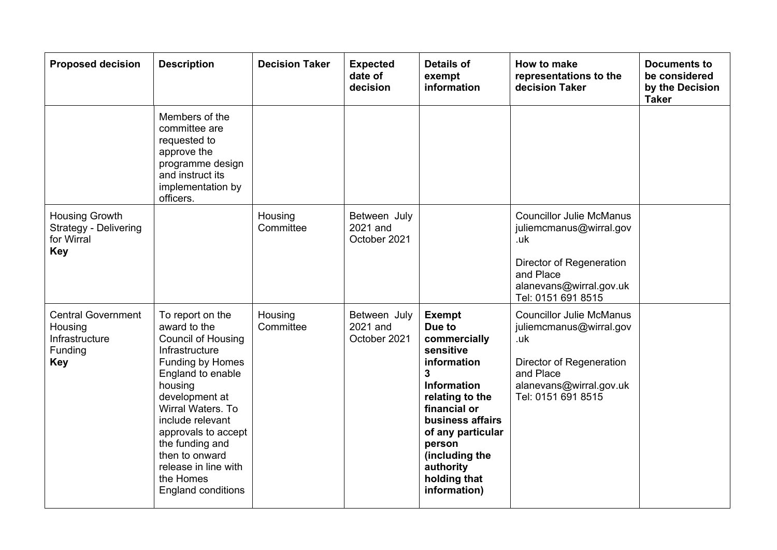| <b>Proposed decision</b>                                                        | <b>Description</b>                                                                                                                                                                                                                                                                                                           | <b>Decision Taker</b> | <b>Expected</b><br>date of<br>decision   | <b>Details of</b><br>exempt<br>information                                                                                                                                                                                                   | How to make<br>representations to the<br>decision Taker                                                                                                     | <b>Documents to</b><br>be considered<br>by the Decision<br><b>Taker</b> |
|---------------------------------------------------------------------------------|------------------------------------------------------------------------------------------------------------------------------------------------------------------------------------------------------------------------------------------------------------------------------------------------------------------------------|-----------------------|------------------------------------------|----------------------------------------------------------------------------------------------------------------------------------------------------------------------------------------------------------------------------------------------|-------------------------------------------------------------------------------------------------------------------------------------------------------------|-------------------------------------------------------------------------|
|                                                                                 | Members of the<br>committee are<br>requested to<br>approve the<br>programme design<br>and instruct its<br>implementation by<br>officers.                                                                                                                                                                                     |                       |                                          |                                                                                                                                                                                                                                              |                                                                                                                                                             |                                                                         |
| <b>Housing Growth</b><br>Strategy - Delivering<br>for Wirral<br><b>Key</b>      |                                                                                                                                                                                                                                                                                                                              | Housing<br>Committee  | Between July<br>2021 and<br>October 2021 |                                                                                                                                                                                                                                              | <b>Councillor Julie McManus</b><br>juliemcmanus@wirral.gov<br>.uk<br>Director of Regeneration<br>and Place<br>alanevans@wirral.gov.uk<br>Tel: 0151 691 8515 |                                                                         |
| <b>Central Government</b><br>Housing<br>Infrastructure<br>Funding<br><b>Key</b> | To report on the<br>award to the<br><b>Council of Housing</b><br>Infrastructure<br>Funding by Homes<br>England to enable<br>housing<br>development at<br>Wirral Waters, To<br>include relevant<br>approvals to accept<br>the funding and<br>then to onward<br>release in line with<br>the Homes<br><b>England conditions</b> | Housing<br>Committee  | Between July<br>2021 and<br>October 2021 | <b>Exempt</b><br>Due to<br>commercially<br>sensitive<br>information<br>3<br>Information<br>relating to the<br>financial or<br>business affairs<br>of any particular<br>person<br>(including the<br>authority<br>holding that<br>information) | <b>Councillor Julie McManus</b><br>juliemcmanus@wirral.gov<br>.uk<br>Director of Regeneration<br>and Place<br>alanevans@wirral.gov.uk<br>Tel: 0151 691 8515 |                                                                         |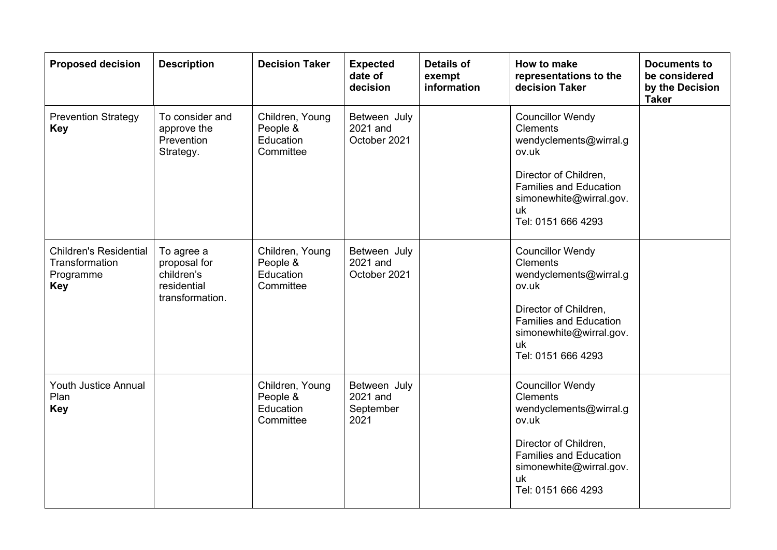| <b>Proposed decision</b>                                                   | <b>Description</b>                                                         | <b>Decision Taker</b>                                 | <b>Expected</b><br>date of<br>decision        | <b>Details of</b><br>exempt<br>information | <b>How to make</b><br>representations to the<br>decision Taker                                                                                                                                 | <b>Documents to</b><br>be considered<br>by the Decision<br><b>Taker</b> |
|----------------------------------------------------------------------------|----------------------------------------------------------------------------|-------------------------------------------------------|-----------------------------------------------|--------------------------------------------|------------------------------------------------------------------------------------------------------------------------------------------------------------------------------------------------|-------------------------------------------------------------------------|
| <b>Prevention Strategy</b><br><b>Key</b>                                   | To consider and<br>approve the<br>Prevention<br>Strategy.                  | Children, Young<br>People &<br>Education<br>Committee | Between July<br>2021 and<br>October 2021      |                                            | <b>Councillor Wendy</b><br><b>Clements</b><br>wendyclements@wirral.g<br>ov.uk                                                                                                                  |                                                                         |
|                                                                            |                                                                            |                                                       |                                               |                                            | Director of Children,<br><b>Families and Education</b><br>simonewhite@wirral.gov.<br>uk<br>Tel: 0151 666 4293                                                                                  |                                                                         |
| <b>Children's Residential</b><br>Transformation<br>Programme<br><b>Key</b> | To agree a<br>proposal for<br>children's<br>residential<br>transformation. | Children, Young<br>People &<br>Education<br>Committee | Between July<br>2021 and<br>October 2021      |                                            | <b>Councillor Wendy</b><br><b>Clements</b><br>wendyclements@wirral.g<br>ov.uk<br>Director of Children,<br><b>Families and Education</b><br>simonewhite@wirral.gov.<br>uk<br>Tel: 0151 666 4293 |                                                                         |
| <b>Youth Justice Annual</b><br>Plan<br><b>Key</b>                          |                                                                            | Children, Young<br>People &<br>Education<br>Committee | Between July<br>2021 and<br>September<br>2021 |                                            | <b>Councillor Wendy</b><br><b>Clements</b><br>wendyclements@wirral.g<br>ov.uk<br>Director of Children,<br><b>Families and Education</b><br>simonewhite@wirral.gov.<br>uk<br>Tel: 0151 666 4293 |                                                                         |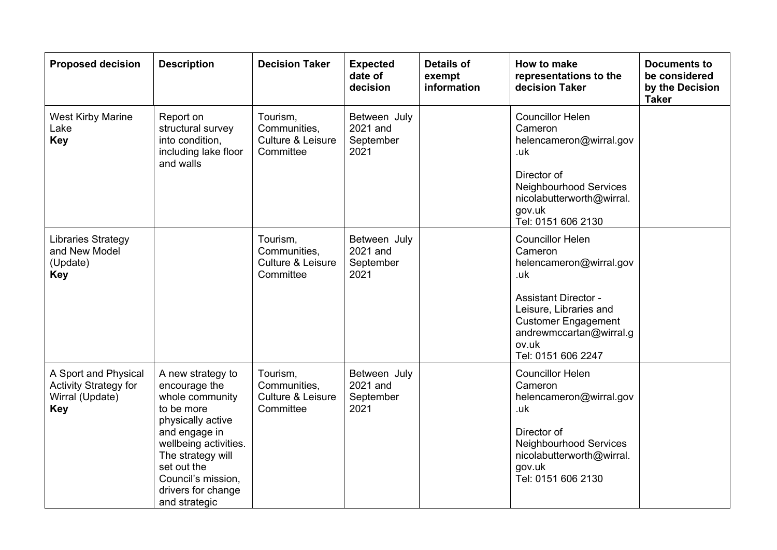| <b>Proposed decision</b>                                                              | <b>Description</b>                                                                                                                                                                           | <b>Decision Taker</b>                                      | <b>Expected</b><br>date of<br>decision        | <b>Details of</b><br>exempt<br>information | How to make<br>representations to the<br>decision Taker                                                                                                                    | <b>Documents to</b><br>be considered<br>by the Decision<br><b>Taker</b> |
|---------------------------------------------------------------------------------------|----------------------------------------------------------------------------------------------------------------------------------------------------------------------------------------------|------------------------------------------------------------|-----------------------------------------------|--------------------------------------------|----------------------------------------------------------------------------------------------------------------------------------------------------------------------------|-------------------------------------------------------------------------|
| <b>West Kirby Marine</b><br>Lake<br><b>Key</b>                                        | Report on<br>structural survey<br>into condition,<br>including lake floor<br>and walls                                                                                                       | Tourism,<br>Communities,<br>Culture & Leisure<br>Committee | Between July<br>2021 and<br>September<br>2021 |                                            | <b>Councillor Helen</b><br>Cameron<br>helencameron@wirral.gov<br>.uk<br>Director of                                                                                        |                                                                         |
|                                                                                       |                                                                                                                                                                                              |                                                            |                                               |                                            | Neighbourhood Services<br>nicolabutterworth@wirral.<br>gov.uk<br>Tel: 0151 606 2130                                                                                        |                                                                         |
| <b>Libraries Strategy</b><br>and New Model<br>(Update)<br><b>Key</b>                  |                                                                                                                                                                                              | Tourism,<br>Communities,<br>Culture & Leisure<br>Committee | Between July<br>2021 and<br>September<br>2021 |                                            | <b>Councillor Helen</b><br>Cameron<br>helencameron@wirral.gov<br>.uk                                                                                                       |                                                                         |
|                                                                                       |                                                                                                                                                                                              |                                                            |                                               |                                            | <b>Assistant Director -</b><br>Leisure, Libraries and<br><b>Customer Engagement</b><br>andrewmccartan@wirral.g<br>ov.uk<br>Tel: 0151 606 2247                              |                                                                         |
| A Sport and Physical<br><b>Activity Strategy for</b><br>Wirral (Update)<br><b>Key</b> | A new strategy to<br>encourage the<br>whole community<br>to be more<br>physically active<br>and engage in<br>wellbeing activities.<br>The strategy will<br>set out the<br>Council's mission, | Tourism,<br>Communities,<br>Culture & Leisure<br>Committee | Between July<br>2021 and<br>September<br>2021 |                                            | <b>Councillor Helen</b><br>Cameron<br>helencameron@wirral.gov<br>.uk<br>Director of<br>Neighbourhood Services<br>nicolabutterworth@wirral.<br>gov.uk<br>Tel: 0151 606 2130 |                                                                         |
|                                                                                       | drivers for change<br>and strategic                                                                                                                                                          |                                                            |                                               |                                            |                                                                                                                                                                            |                                                                         |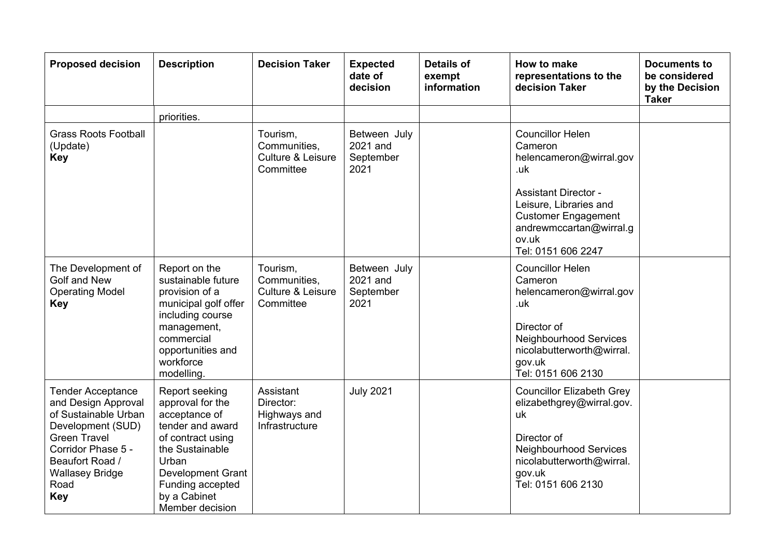| <b>Proposed decision</b>                                                                                                                                                                                     | <b>Description</b>                                                                                                                                                                                          | <b>Decision Taker</b>                                      | <b>Expected</b><br>date of<br>decision        | <b>Details of</b><br>exempt<br>information | How to make<br>representations to the<br>decision Taker                                                                                                                                                               | <b>Documents to</b><br>be considered<br>by the Decision<br><b>Taker</b> |
|--------------------------------------------------------------------------------------------------------------------------------------------------------------------------------------------------------------|-------------------------------------------------------------------------------------------------------------------------------------------------------------------------------------------------------------|------------------------------------------------------------|-----------------------------------------------|--------------------------------------------|-----------------------------------------------------------------------------------------------------------------------------------------------------------------------------------------------------------------------|-------------------------------------------------------------------------|
|                                                                                                                                                                                                              | priorities.                                                                                                                                                                                                 |                                                            |                                               |                                            |                                                                                                                                                                                                                       |                                                                         |
| <b>Grass Roots Football</b><br>(Update)<br><b>Key</b>                                                                                                                                                        |                                                                                                                                                                                                             | Tourism,<br>Communities,<br>Culture & Leisure<br>Committee | Between July<br>2021 and<br>September<br>2021 |                                            | <b>Councillor Helen</b><br>Cameron<br>helencameron@wirral.gov<br>.uk<br><b>Assistant Director -</b><br>Leisure, Libraries and<br><b>Customer Engagement</b><br>andrewmccartan@wirral.g<br>ov.uk<br>Tel: 0151 606 2247 |                                                                         |
| The Development of<br>Golf and New<br><b>Operating Model</b><br><b>Key</b>                                                                                                                                   | Report on the<br>sustainable future<br>provision of a<br>municipal golf offer<br>including course<br>management,<br>commercial<br>opportunities and<br>workforce<br>modelling.                              | Tourism,<br>Communities,<br>Culture & Leisure<br>Committee | Between July<br>2021 and<br>September<br>2021 |                                            | <b>Councillor Helen</b><br>Cameron<br>helencameron@wirral.gov<br>.uk<br>Director of<br>Neighbourhood Services<br>nicolabutterworth@wirral.<br>gov.uk<br>Tel: 0151 606 2130                                            |                                                                         |
| <b>Tender Acceptance</b><br>and Design Approval<br>of Sustainable Urban<br>Development (SUD)<br><b>Green Travel</b><br>Corridor Phase 5 -<br>Beaufort Road /<br><b>Wallasey Bridge</b><br>Road<br><b>Key</b> | Report seeking<br>approval for the<br>acceptance of<br>tender and award<br>of contract using<br>the Sustainable<br>Urban<br><b>Development Grant</b><br>Funding accepted<br>by a Cabinet<br>Member decision | Assistant<br>Director:<br>Highways and<br>Infrastructure   | <b>July 2021</b>                              |                                            | <b>Councillor Elizabeth Grey</b><br>elizabethgrey@wirral.gov.<br>uk<br>Director of<br>Neighbourhood Services<br>nicolabutterworth@wirral.<br>gov.uk<br>Tel: 0151 606 2130                                             |                                                                         |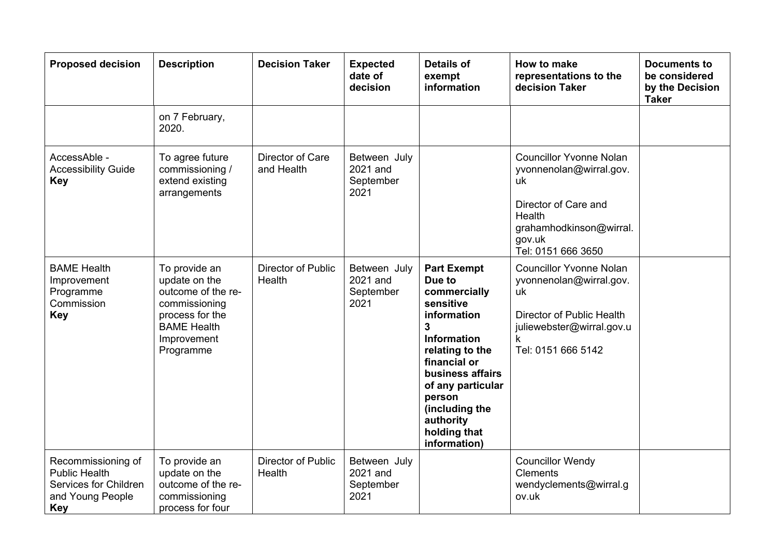| <b>Proposed decision</b>                                                                              | <b>Description</b>                                                                                                                         | <b>Decision Taker</b>          | <b>Expected</b><br>date of<br>decision        | <b>Details of</b><br>exempt<br>information                                                                                                                                                                                                                          | How to make<br>representations to the<br>decision Taker                                                                                                      | <b>Documents to</b><br>be considered<br>by the Decision<br><b>Taker</b> |
|-------------------------------------------------------------------------------------------------------|--------------------------------------------------------------------------------------------------------------------------------------------|--------------------------------|-----------------------------------------------|---------------------------------------------------------------------------------------------------------------------------------------------------------------------------------------------------------------------------------------------------------------------|--------------------------------------------------------------------------------------------------------------------------------------------------------------|-------------------------------------------------------------------------|
|                                                                                                       | on 7 February,<br>2020.                                                                                                                    |                                |                                               |                                                                                                                                                                                                                                                                     |                                                                                                                                                              |                                                                         |
| AccessAble -<br><b>Accessibility Guide</b><br><b>Key</b>                                              | To agree future<br>commissioning /<br>extend existing<br>arrangements                                                                      | Director of Care<br>and Health | Between July<br>2021 and<br>September<br>2021 |                                                                                                                                                                                                                                                                     | <b>Councillor Yvonne Nolan</b><br>yvonnenolan@wirral.gov.<br>uk<br>Director of Care and<br>Health<br>grahamhodkinson@wirral.<br>gov.uk<br>Tel: 0151 666 3650 |                                                                         |
| <b>BAME Health</b><br>Improvement<br>Programme<br>Commission<br><b>Key</b>                            | To provide an<br>update on the<br>outcome of the re-<br>commissioning<br>process for the<br><b>BAME Health</b><br>Improvement<br>Programme | Director of Public<br>Health   | Between July<br>2021 and<br>September<br>2021 | <b>Part Exempt</b><br>Due to<br>commercially<br>sensitive<br>information<br>$\mathbf{3}$<br><b>Information</b><br>relating to the<br>financial or<br>business affairs<br>of any particular<br>person<br>(including the<br>authority<br>holding that<br>information) | <b>Councillor Yvonne Nolan</b><br>yvonnenolan@wirral.gov.<br>uk<br>Director of Public Health<br>juliewebster@wirral.gov.u<br>k<br>Tel: 0151 666 5142         |                                                                         |
| Recommissioning of<br><b>Public Health</b><br>Services for Children<br>and Young People<br><b>Key</b> | To provide an<br>update on the<br>outcome of the re-<br>commissioning<br>process for four                                                  | Director of Public<br>Health   | Between July<br>2021 and<br>September<br>2021 |                                                                                                                                                                                                                                                                     | <b>Councillor Wendy</b><br><b>Clements</b><br>wendyclements@wirral.g<br>ov.uk                                                                                |                                                                         |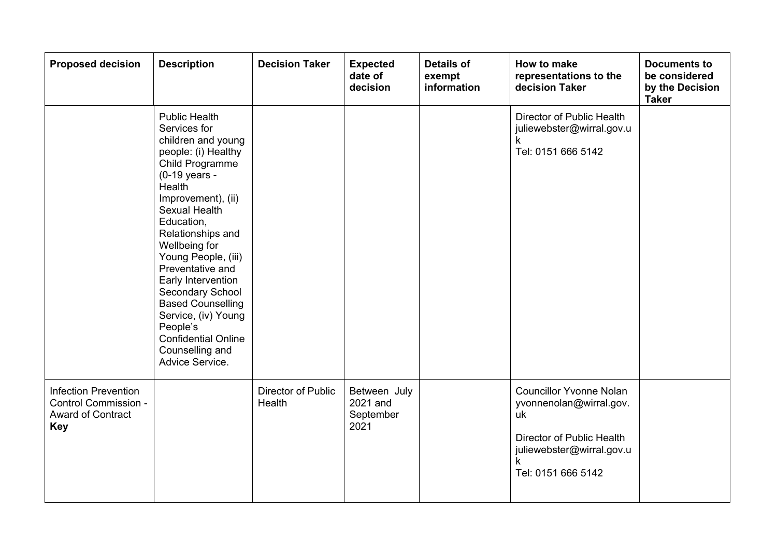| <b>Proposed decision</b>                                                               | <b>Description</b>                                                                                                                                                                                                                                                                                                                                                                                                                                        | <b>Decision Taker</b>        | <b>Expected</b><br>date of<br>decision        | <b>Details of</b><br>exempt<br>information | How to make<br>representations to the<br>decision Taker                                                                                              | <b>Documents to</b><br>be considered<br>by the Decision<br><b>Taker</b> |
|----------------------------------------------------------------------------------------|-----------------------------------------------------------------------------------------------------------------------------------------------------------------------------------------------------------------------------------------------------------------------------------------------------------------------------------------------------------------------------------------------------------------------------------------------------------|------------------------------|-----------------------------------------------|--------------------------------------------|------------------------------------------------------------------------------------------------------------------------------------------------------|-------------------------------------------------------------------------|
|                                                                                        | <b>Public Health</b><br>Services for<br>children and young<br>people: (i) Healthy<br>Child Programme<br>(0-19 years -<br>Health<br>Improvement), (ii)<br><b>Sexual Health</b><br>Education,<br>Relationships and<br>Wellbeing for<br>Young People, (iii)<br>Preventative and<br>Early Intervention<br>Secondary School<br><b>Based Counselling</b><br>Service, (iv) Young<br>People's<br><b>Confidential Online</b><br>Counselling and<br>Advice Service. |                              |                                               |                                            | Director of Public Health<br>juliewebster@wirral.gov.u<br>k<br>Tel: 0151 666 5142                                                                    |                                                                         |
| <b>Infection Prevention</b><br>Control Commission -<br>Award of Contract<br><b>Key</b> |                                                                                                                                                                                                                                                                                                                                                                                                                                                           | Director of Public<br>Health | Between July<br>2021 and<br>September<br>2021 |                                            | <b>Councillor Yvonne Nolan</b><br>yvonnenolan@wirral.gov.<br>uk<br>Director of Public Health<br>juliewebster@wirral.gov.u<br>k<br>Tel: 0151 666 5142 |                                                                         |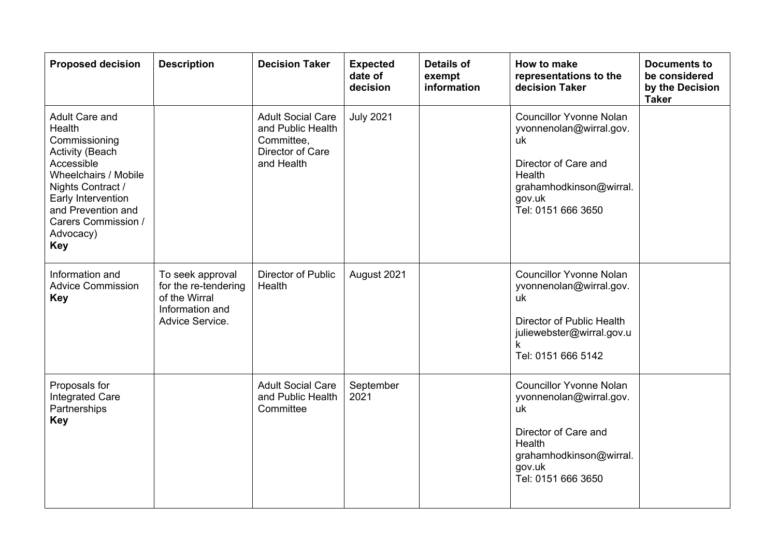| <b>Proposed decision</b>                                                                                                                                                                                                     | <b>Description</b>                                                                              | <b>Decision Taker</b>                                                                         | <b>Expected</b><br>date of<br>decision | <b>Details of</b><br>exempt<br>information | <b>How to make</b><br>representations to the<br>decision Taker                                                                                               | <b>Documents to</b><br>be considered<br>by the Decision<br><b>Taker</b> |
|------------------------------------------------------------------------------------------------------------------------------------------------------------------------------------------------------------------------------|-------------------------------------------------------------------------------------------------|-----------------------------------------------------------------------------------------------|----------------------------------------|--------------------------------------------|--------------------------------------------------------------------------------------------------------------------------------------------------------------|-------------------------------------------------------------------------|
| Adult Care and<br>Health<br>Commissioning<br><b>Activity (Beach</b><br>Accessible<br>Wheelchairs / Mobile<br>Nights Contract /<br>Early Intervention<br>and Prevention and<br>Carers Commission /<br>Advocacy)<br><b>Key</b> |                                                                                                 | <b>Adult Social Care</b><br>and Public Health<br>Committee,<br>Director of Care<br>and Health | <b>July 2021</b>                       |                                            | <b>Councillor Yvonne Nolan</b><br>yvonnenolan@wirral.gov.<br>uk<br>Director of Care and<br>Health<br>grahamhodkinson@wirral.<br>gov.uk<br>Tel: 0151 666 3650 |                                                                         |
| Information and<br><b>Advice Commission</b><br><b>Key</b>                                                                                                                                                                    | To seek approval<br>for the re-tendering<br>of the Wirral<br>Information and<br>Advice Service. | Director of Public<br>Health                                                                  | August 2021                            |                                            | <b>Councillor Yvonne Nolan</b><br>yvonnenolan@wirral.gov.<br>uk<br>Director of Public Health<br>juliewebster@wirral.gov.u<br>k<br>Tel: 0151 666 5142         |                                                                         |
| Proposals for<br><b>Integrated Care</b><br>Partnerships<br><b>Key</b>                                                                                                                                                        |                                                                                                 | <b>Adult Social Care</b><br>and Public Health<br>Committee                                    | September<br>2021                      |                                            | <b>Councillor Yvonne Nolan</b><br>yvonnenolan@wirral.gov.<br>uk<br>Director of Care and<br>Health<br>grahamhodkinson@wirral.<br>gov.uk<br>Tel: 0151 666 3650 |                                                                         |